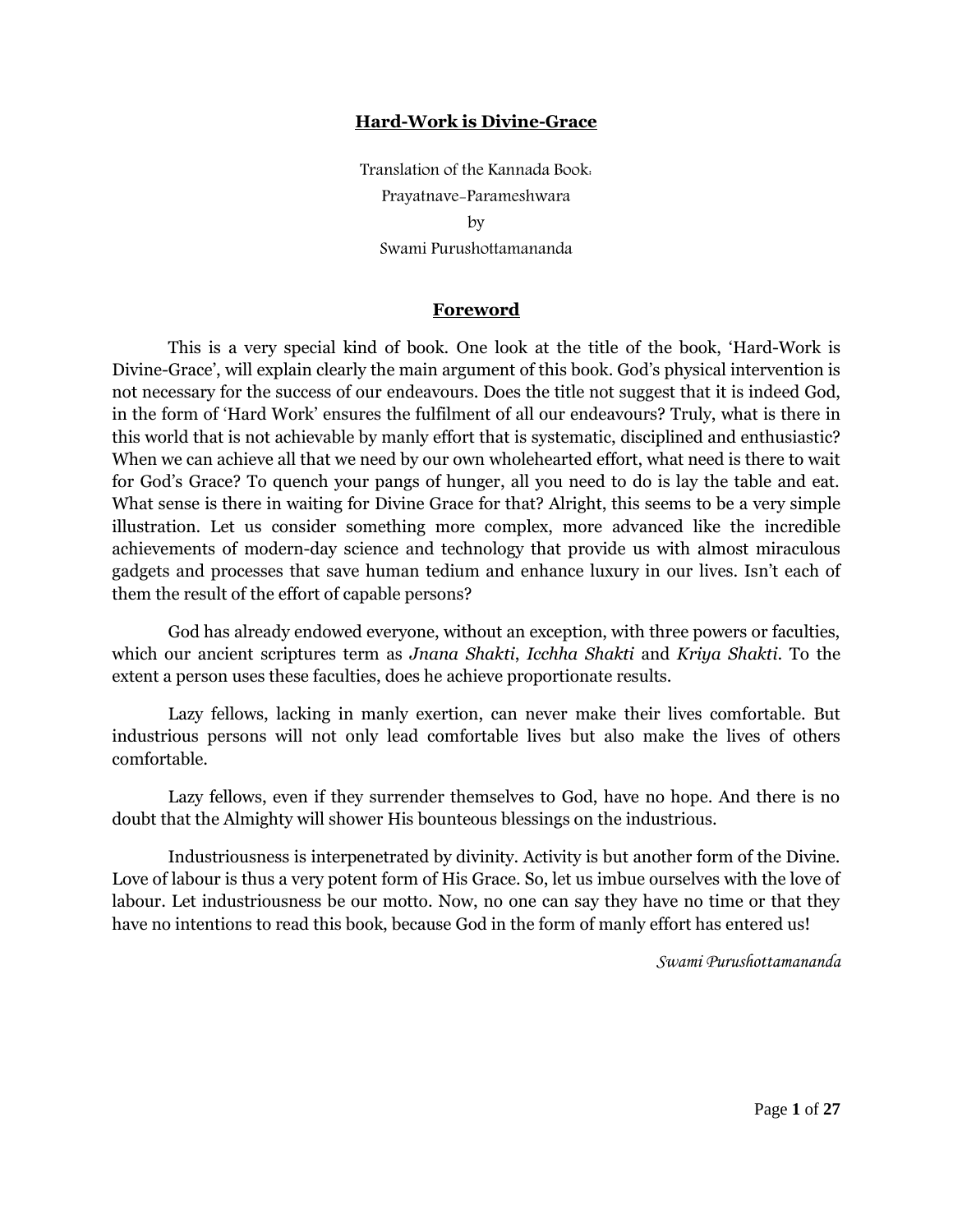#### **Hard-Work is Divine-Grace**

Translation of the Kannada Book: Prayatnave-Parameshwara by Swami Purushottamananda

#### **Foreword**

This is a very special kind of book. One look at the title of the book, "Hard-Work is Divine-Grace', will explain clearly the main argument of this book. God's physical intervention is not necessary for the success of our endeavours. Does the title not suggest that it is indeed God, in the form of "Hard Work" ensures the fulfilment of all our endeavours? Truly, what is there in this world that is not achievable by manly effort that is systematic, disciplined and enthusiastic? When we can achieve all that we need by our own wholehearted effort, what need is there to wait for God"s Grace? To quench your pangs of hunger, all you need to do is lay the table and eat. What sense is there in waiting for Divine Grace for that? Alright, this seems to be a very simple illustration. Let us consider something more complex, more advanced like the incredible achievements of modern-day science and technology that provide us with almost miraculous gadgets and processes that save human tedium and enhance luxury in our lives. Isn"t each of them the result of the effort of capable persons?

God has already endowed everyone, without an exception, with three powers or faculties, which our ancient scriptures term as *Jnana Shakti*, *Icchha Shakti* and *Kriya Shakti*. To the extent a person uses these faculties, does he achieve proportionate results.

Lazy fellows, lacking in manly exertion, can never make their lives comfortable. But industrious persons will not only lead comfortable lives but also make the lives of others comfortable.

Lazy fellows, even if they surrender themselves to God, have no hope. And there is no doubt that the Almighty will shower His bounteous blessings on the industrious.

Industriousness is interpenetrated by divinity. Activity is but another form of the Divine. Love of labour is thus a very potent form of His Grace. So, let us imbue ourselves with the love of labour. Let industriousness be our motto. Now, no one can say they have no time or that they have no intentions to read this book, because God in the form of manly effort has entered us!

*Swami Purushottamananda*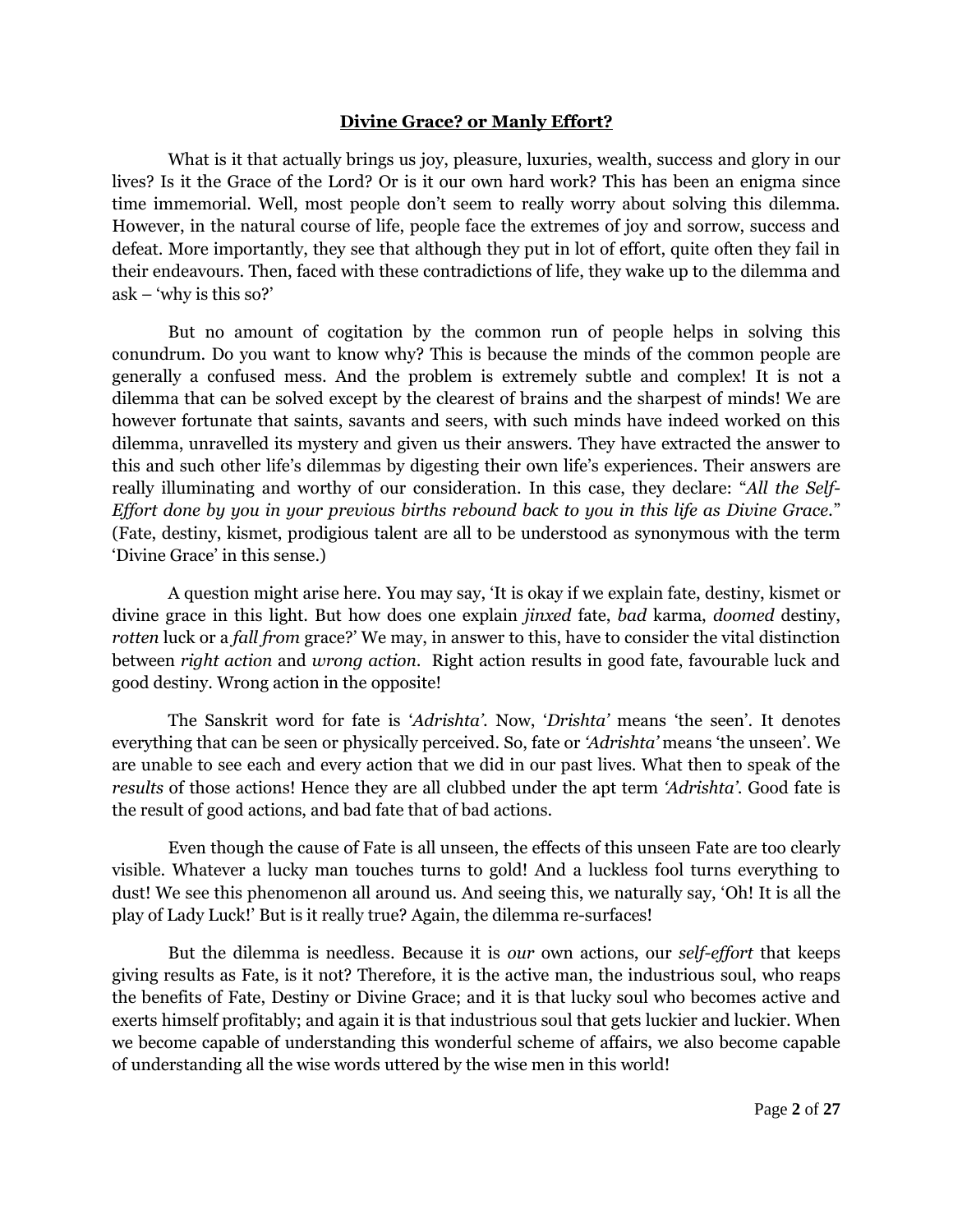## **Divine Grace? or Manly Effort?**

What is it that actually brings us joy, pleasure, luxuries, wealth, success and glory in our lives? Is it the Grace of the Lord? Or is it our own hard work? This has been an enigma since time immemorial. Well, most people don"t seem to really worry about solving this dilemma. However, in the natural course of life, people face the extremes of joy and sorrow, success and defeat. More importantly, they see that although they put in lot of effort, quite often they fail in their endeavours. Then, faced with these contradictions of life, they wake up to the dilemma and  $ask - 'why$  is this so?'

But no amount of cogitation by the common run of people helps in solving this conundrum. Do you want to know why? This is because the minds of the common people are generally a confused mess. And the problem is extremely subtle and complex! It is not a dilemma that can be solved except by the clearest of brains and the sharpest of minds! We are however fortunate that saints, savants and seers, with such minds have indeed worked on this dilemma, unravelled its mystery and given us their answers. They have extracted the answer to this and such other life"s dilemmas by digesting their own life"s experiences. Their answers are really illuminating and worthy of our consideration. In this case, they declare: "*All the Self-Effort done by you in your previous births rebound back to you in this life as Divine Grace.*" (Fate, destiny, kismet, prodigious talent are all to be understood as synonymous with the term 'Divine Grace' in this sense.)

A question might arise here. You may say, "It is okay if we explain fate, destiny, kismet or divine grace in this light. But how does one explain *jinxed* fate, *bad* karma, *doomed* destiny, *rotten* luck or a *fall from* grace?" We may, in answer to this, have to consider the vital distinction between *right action* and *wrong action*. Right action results in good fate, favourable luck and good destiny. Wrong action in the opposite!

The Sanskrit word for fate is "*Adrishta"*. Now, "*Drishta"* means "the seen". It denotes everything that can be seen or physically perceived. So, fate or *"Adrishta"* means "the unseen". We are unable to see each and every action that we did in our past lives. What then to speak of the *results* of those actions! Hence they are all clubbed under the apt term *"Adrishta"*. Good fate is the result of good actions, and bad fate that of bad actions.

Even though the cause of Fate is all unseen, the effects of this unseen Fate are too clearly visible. Whatever a lucky man touches turns to gold! And a luckless fool turns everything to dust! We see this phenomenon all around us. And seeing this, we naturally say, "Oh! It is all the play of Lady Luck!" But is it really true? Again, the dilemma re-surfaces!

But the dilemma is needless. Because it is *our* own actions, our *self-effort* that keeps giving results as Fate, is it not? Therefore, it is the active man, the industrious soul, who reaps the benefits of Fate, Destiny or Divine Grace; and it is that lucky soul who becomes active and exerts himself profitably; and again it is that industrious soul that gets luckier and luckier. When we become capable of understanding this wonderful scheme of affairs, we also become capable of understanding all the wise words uttered by the wise men in this world!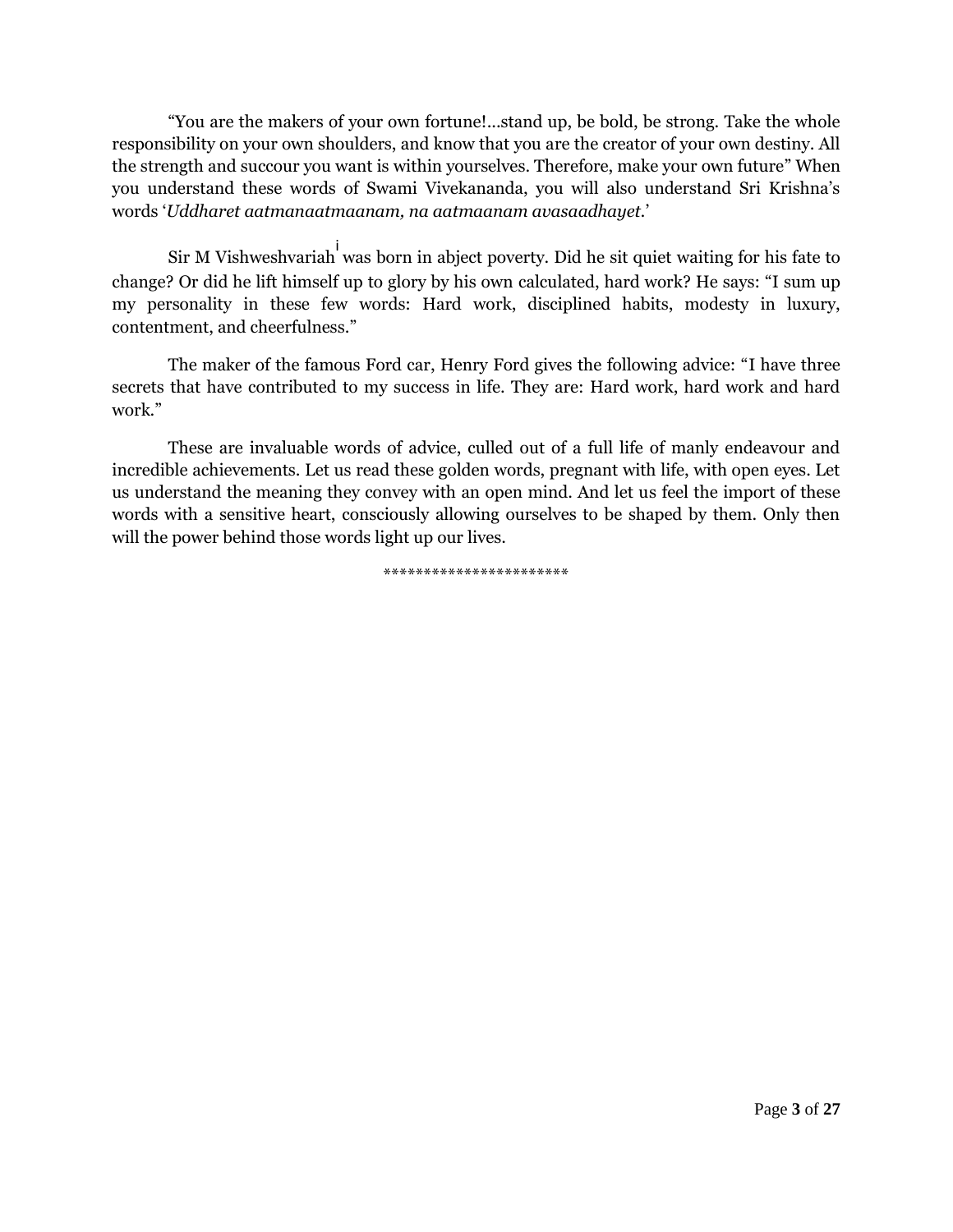"You are the makers of your own fortune!...stand up, be bold, be strong. Take the whole responsibility on your own shoulders, and know that you are the creator of your own destiny. All the strength and succour you want is within yourselves. Therefore, make your own future" When you understand these words of Swami Vivekananda, you will also understand Sri Krishna"s words "*Uddharet aatmanaatmaanam, na aatmaanam avasaadhayet.*"

Sir M Vishweshvariah<sup>i</sup> was born in abject poverty. Did he sit quiet waiting for his fate to change? Or did he lift himself up to glory by his own calculated, hard work? He says: "I sum up my personality in these few words: Hard work, disciplined habits, modesty in luxury, contentment, and cheerfulness."

The maker of the famous Ford car, Henry Ford gives the following advice: "I have three secrets that have contributed to my success in life. They are: Hard work, hard work and hard work."

These are invaluable words of advice, culled out of a full life of manly endeavour and incredible achievements. Let us read these golden words, pregnant with life, with open eyes. Let us understand the meaning they convey with an open mind. And let us feel the import of these words with a sensitive heart, consciously allowing ourselves to be shaped by them. Only then will the power behind those words light up our lives.

\*\*\*\*\*\*\*\*\*\*\*\*\*\*\*\*\*\*\*\*\*\*\*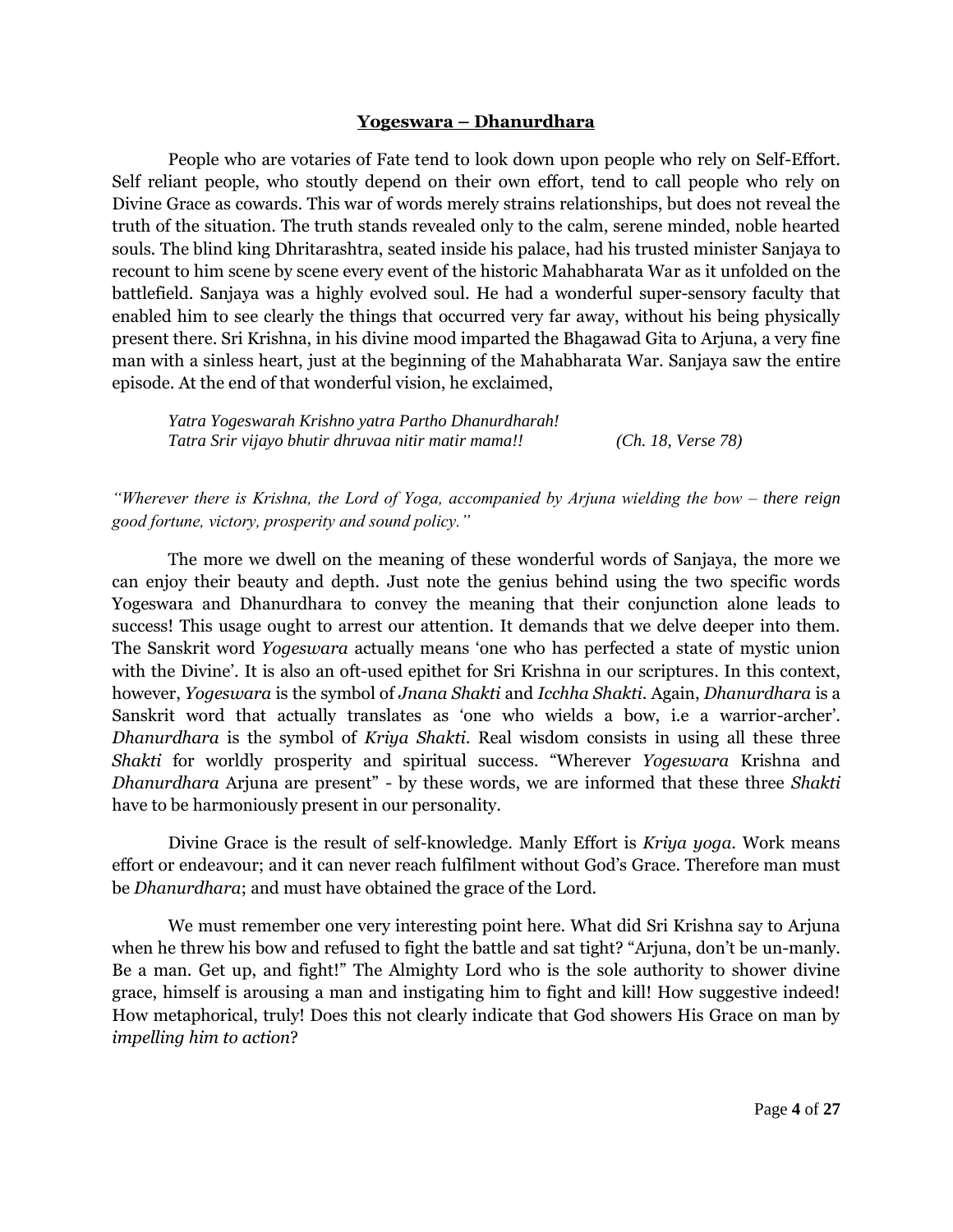#### **Yogeswara – Dhanurdhara**

People who are votaries of Fate tend to look down upon people who rely on Self-Effort. Self reliant people, who stoutly depend on their own effort, tend to call people who rely on Divine Grace as cowards. This war of words merely strains relationships, but does not reveal the truth of the situation. The truth stands revealed only to the calm, serene minded, noble hearted souls. The blind king Dhritarashtra, seated inside his palace, had his trusted minister Sanjaya to recount to him scene by scene every event of the historic Mahabharata War as it unfolded on the battlefield. Sanjaya was a highly evolved soul. He had a wonderful super-sensory faculty that enabled him to see clearly the things that occurred very far away, without his being physically present there. Sri Krishna, in his divine mood imparted the Bhagawad Gita to Arjuna, a very fine man with a sinless heart, just at the beginning of the Mahabharata War. Sanjaya saw the entire episode. At the end of that wonderful vision, he exclaimed,

*Yatra Yogeswarah Krishno yatra Partho Dhanurdharah! Tatra Srir vijayo bhutir dhruvaa nitir matir mama!! (Ch. 18, Verse 78)*

*"Wherever there is Krishna, the Lord of Yoga, accompanied by Arjuna wielding the bow – there reign good fortune, victory, prosperity and sound policy."*

The more we dwell on the meaning of these wonderful words of Sanjaya, the more we can enjoy their beauty and depth. Just note the genius behind using the two specific words Yogeswara and Dhanurdhara to convey the meaning that their conjunction alone leads to success! This usage ought to arrest our attention. It demands that we delve deeper into them. The Sanskrit word *Yogeswara* actually means "one who has perfected a state of mystic union with the Divine'. It is also an oft-used epithet for Sri Krishna in our scriptures. In this context, however, *Yogeswara* is the symbol of *Jnana Shakti* and *Icchha Shakti*. Again, *Dhanurdhara* is a Sanskrit word that actually translates as "one who wields a bow, i.e a warrior-archer". *Dhanurdhara* is the symbol of *Kriya Shakti*. Real wisdom consists in using all these three *Shakti* for worldly prosperity and spiritual success. "Wherever *Yogeswara* Krishna and *Dhanurdhara* Arjuna are present" - by these words, we are informed that these three *Shakti* have to be harmoniously present in our personality.

Divine Grace is the result of self-knowledge. Manly Effort is *Kriya yoga*. Work means effort or endeavour; and it can never reach fulfilment without God"s Grace. Therefore man must be *Dhanurdhara*; and must have obtained the grace of the Lord.

We must remember one very interesting point here. What did Sri Krishna say to Arjuna when he threw his bow and refused to fight the battle and sat tight? "Arjuna, don't be un-manly. Be a man. Get up, and fight!" The Almighty Lord who is the sole authority to shower divine grace, himself is arousing a man and instigating him to fight and kill! How suggestive indeed! How metaphorical, truly! Does this not clearly indicate that God showers His Grace on man by *impelling him to action*?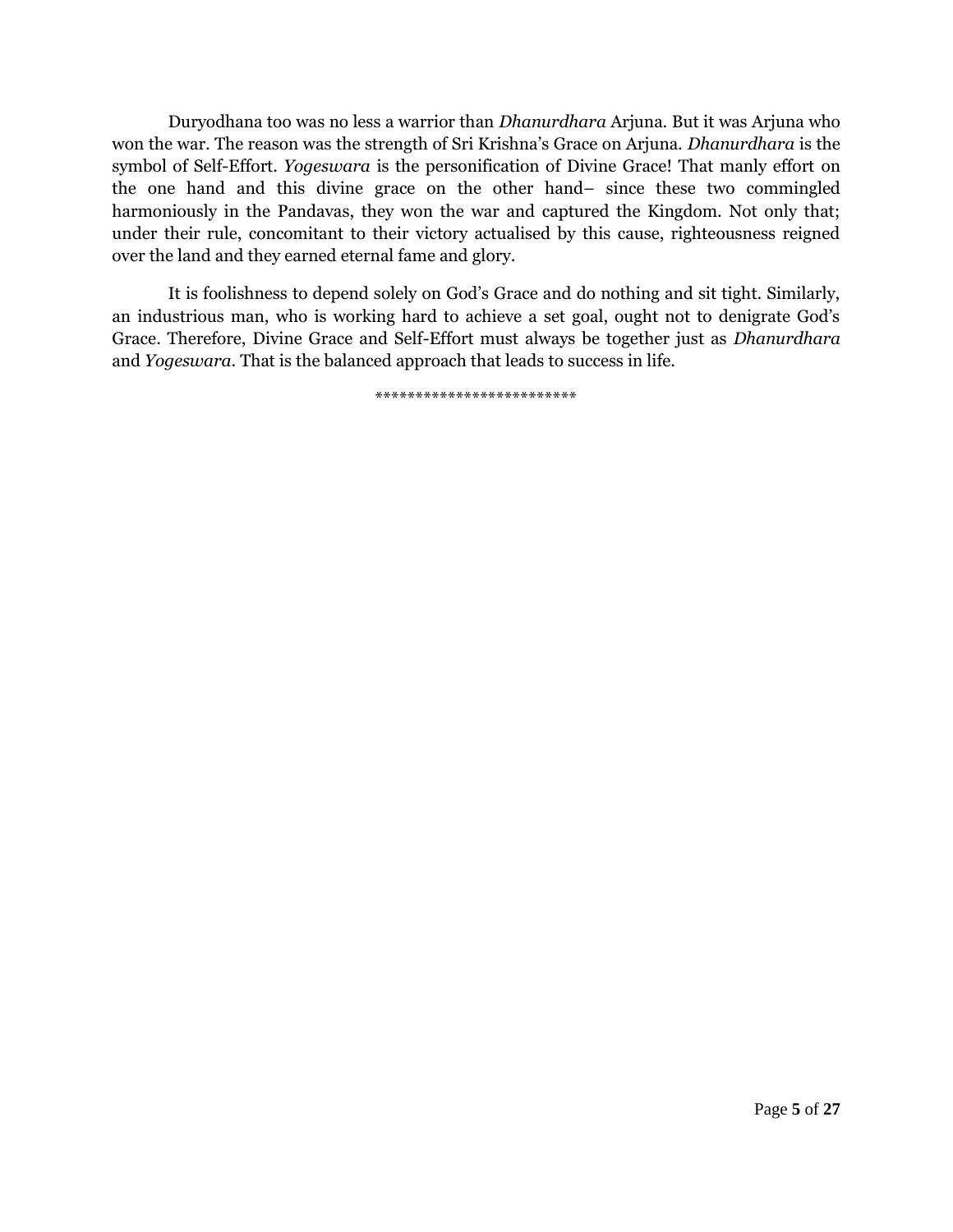Duryodhana too was no less a warrior than *Dhanurdhara* Arjuna. But it was Arjuna who won the war. The reason was the strength of Sri Krishna"s Grace on Arjuna. *Dhanurdhara* is the symbol of Self-Effort. *Yogeswara* is the personification of Divine Grace! That manly effort on the one hand and this divine grace on the other hand– since these two commingled harmoniously in the Pandavas, they won the war and captured the Kingdom. Not only that; under their rule, concomitant to their victory actualised by this cause, righteousness reigned over the land and they earned eternal fame and glory.

It is foolishness to depend solely on God"s Grace and do nothing and sit tight. Similarly, an industrious man, who is working hard to achieve a set goal, ought not to denigrate God"s Grace. Therefore, Divine Grace and Self-Effort must always be together just as *Dhanurdhara* and *Yogeswara*. That is the balanced approach that leads to success in life.

\*\*\*\*\*\*\*\*\*\*\*\*\*\*\*\*\*\*\*\*\*\*\*\*\*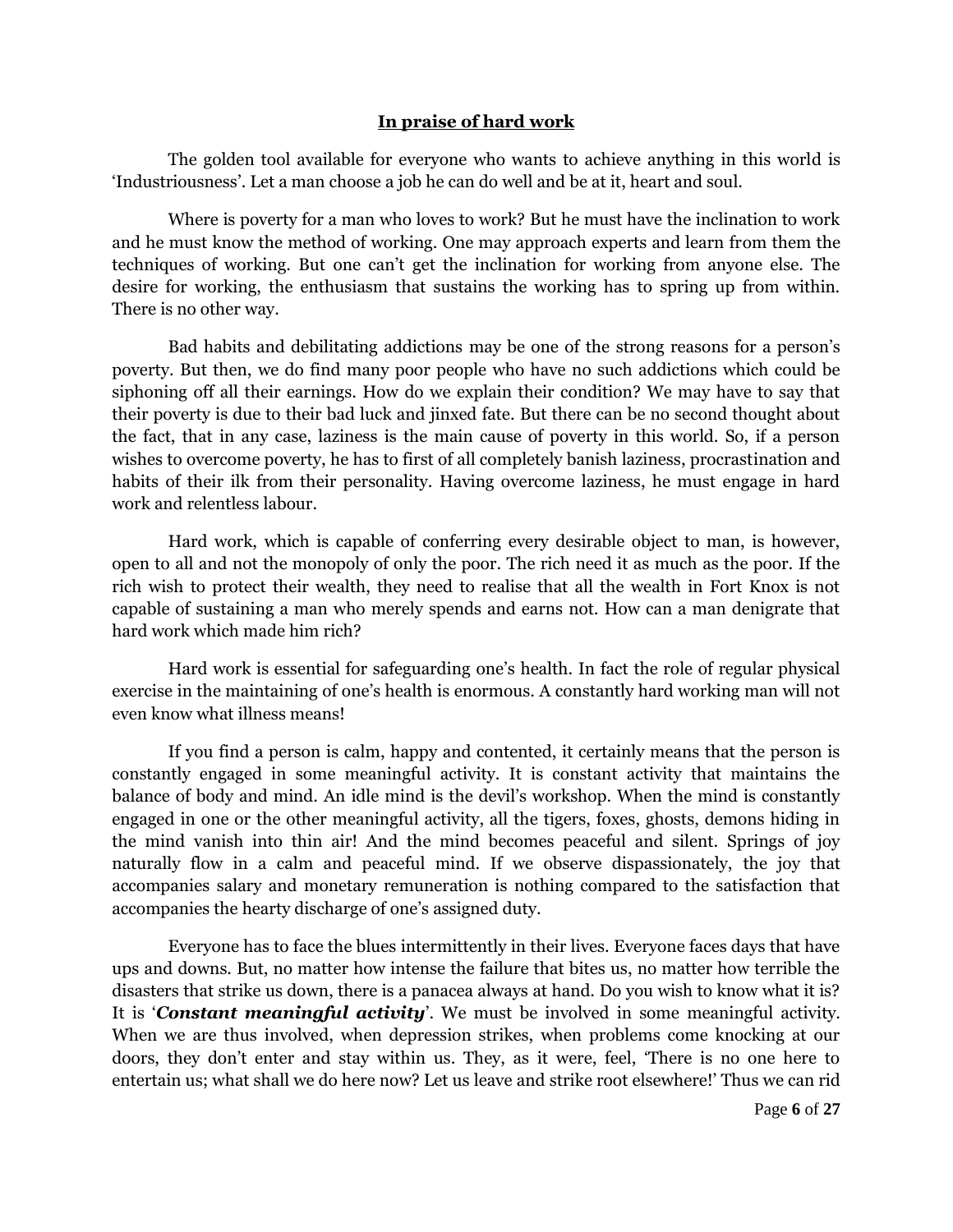### **In praise of hard work**

The golden tool available for everyone who wants to achieve anything in this world is 'Industriousness'. Let a man choose a job he can do well and be at it, heart and soul.

Where is poverty for a man who loves to work? But he must have the inclination to work and he must know the method of working. One may approach experts and learn from them the techniques of working. But one can"t get the inclination for working from anyone else. The desire for working, the enthusiasm that sustains the working has to spring up from within. There is no other way.

Bad habits and debilitating addictions may be one of the strong reasons for a person"s poverty. But then, we do find many poor people who have no such addictions which could be siphoning off all their earnings. How do we explain their condition? We may have to say that their poverty is due to their bad luck and jinxed fate. But there can be no second thought about the fact, that in any case, laziness is the main cause of poverty in this world. So, if a person wishes to overcome poverty, he has to first of all completely banish laziness, procrastination and habits of their ilk from their personality. Having overcome laziness, he must engage in hard work and relentless labour.

Hard work, which is capable of conferring every desirable object to man, is however, open to all and not the monopoly of only the poor. The rich need it as much as the poor. If the rich wish to protect their wealth, they need to realise that all the wealth in Fort Knox is not capable of sustaining a man who merely spends and earns not. How can a man denigrate that hard work which made him rich?

Hard work is essential for safeguarding one"s health. In fact the role of regular physical exercise in the maintaining of one"s health is enormous. A constantly hard working man will not even know what illness means!

If you find a person is calm, happy and contented, it certainly means that the person is constantly engaged in some meaningful activity. It is constant activity that maintains the balance of body and mind. An idle mind is the devil"s workshop. When the mind is constantly engaged in one or the other meaningful activity, all the tigers, foxes, ghosts, demons hiding in the mind vanish into thin air! And the mind becomes peaceful and silent. Springs of joy naturally flow in a calm and peaceful mind. If we observe dispassionately, the joy that accompanies salary and monetary remuneration is nothing compared to the satisfaction that accompanies the hearty discharge of one"s assigned duty.

Everyone has to face the blues intermittently in their lives. Everyone faces days that have ups and downs. But, no matter how intense the failure that bites us, no matter how terrible the disasters that strike us down, there is a panacea always at hand. Do you wish to know what it is? It is "*Constant meaningful activity*". We must be involved in some meaningful activity. When we are thus involved, when depression strikes, when problems come knocking at our doors, they don"t enter and stay within us. They, as it were, feel, "There is no one here to entertain us; what shall we do here now? Let us leave and strike root elsewhere!" Thus we can rid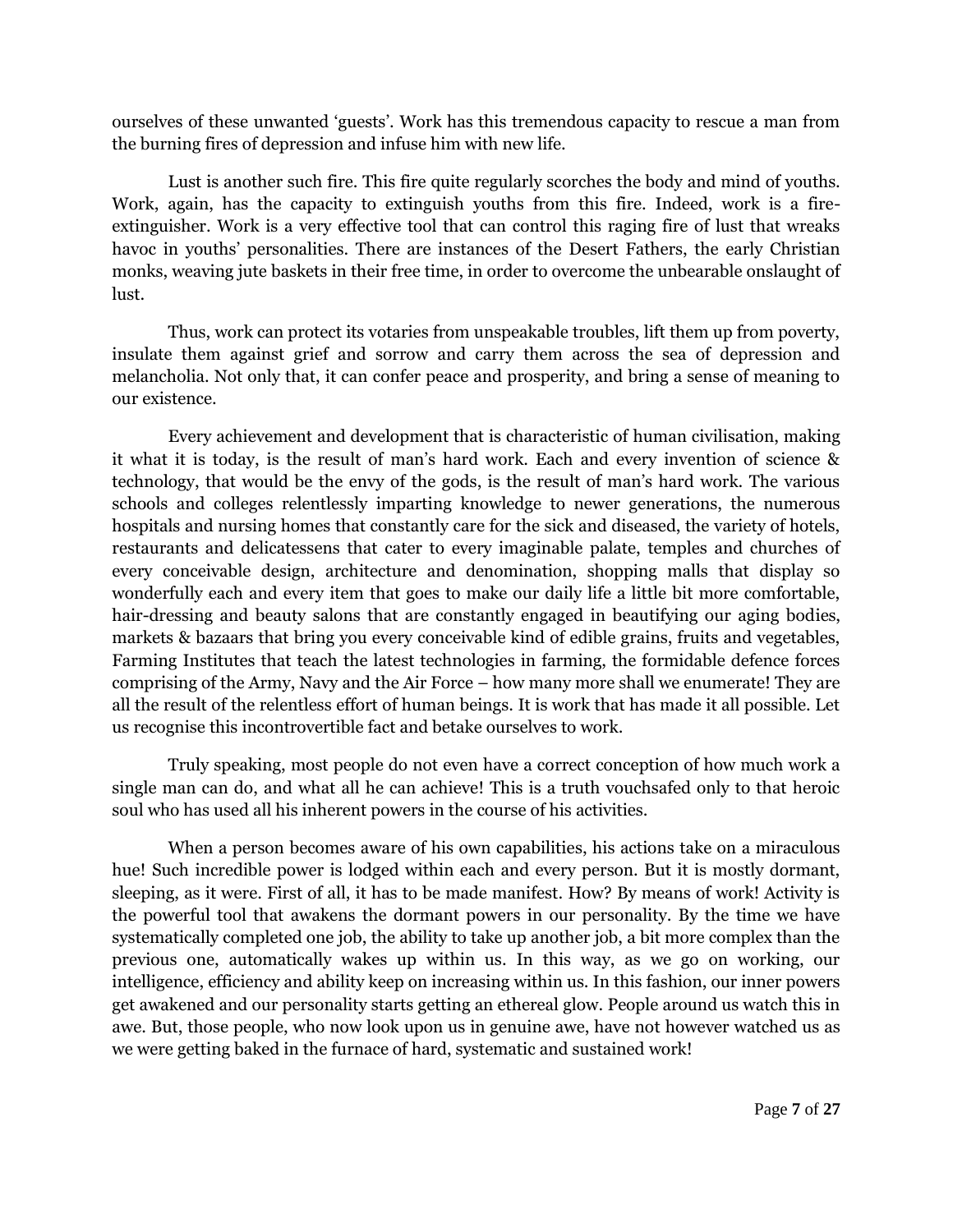ourselves of these unwanted "guests". Work has this tremendous capacity to rescue a man from the burning fires of depression and infuse him with new life.

Lust is another such fire. This fire quite regularly scorches the body and mind of youths. Work, again, has the capacity to extinguish youths from this fire. Indeed, work is a fireextinguisher. Work is a very effective tool that can control this raging fire of lust that wreaks havoc in youths' personalities. There are instances of the Desert Fathers, the early Christian monks, weaving jute baskets in their free time, in order to overcome the unbearable onslaught of lust.

Thus, work can protect its votaries from unspeakable troubles, lift them up from poverty, insulate them against grief and sorrow and carry them across the sea of depression and melancholia. Not only that, it can confer peace and prosperity, and bring a sense of meaning to our existence.

Every achievement and development that is characteristic of human civilisation, making it what it is today, is the result of man"s hard work. Each and every invention of science & technology, that would be the envy of the gods, is the result of man"s hard work. The various schools and colleges relentlessly imparting knowledge to newer generations, the numerous hospitals and nursing homes that constantly care for the sick and diseased, the variety of hotels, restaurants and delicatessens that cater to every imaginable palate, temples and churches of every conceivable design, architecture and denomination, shopping malls that display so wonderfully each and every item that goes to make our daily life a little bit more comfortable, hair-dressing and beauty salons that are constantly engaged in beautifying our aging bodies, markets & bazaars that bring you every conceivable kind of edible grains, fruits and vegetables, Farming Institutes that teach the latest technologies in farming, the formidable defence forces comprising of the Army, Navy and the Air Force – how many more shall we enumerate! They are all the result of the relentless effort of human beings. It is work that has made it all possible. Let us recognise this incontrovertible fact and betake ourselves to work.

Truly speaking, most people do not even have a correct conception of how much work a single man can do, and what all he can achieve! This is a truth vouchsafed only to that heroic soul who has used all his inherent powers in the course of his activities.

When a person becomes aware of his own capabilities, his actions take on a miraculous hue! Such incredible power is lodged within each and every person. But it is mostly dormant, sleeping, as it were. First of all, it has to be made manifest. How? By means of work! Activity is the powerful tool that awakens the dormant powers in our personality. By the time we have systematically completed one job, the ability to take up another job, a bit more complex than the previous one, automatically wakes up within us. In this way, as we go on working, our intelligence, efficiency and ability keep on increasing within us. In this fashion, our inner powers get awakened and our personality starts getting an ethereal glow. People around us watch this in awe. But, those people, who now look upon us in genuine awe, have not however watched us as we were getting baked in the furnace of hard, systematic and sustained work!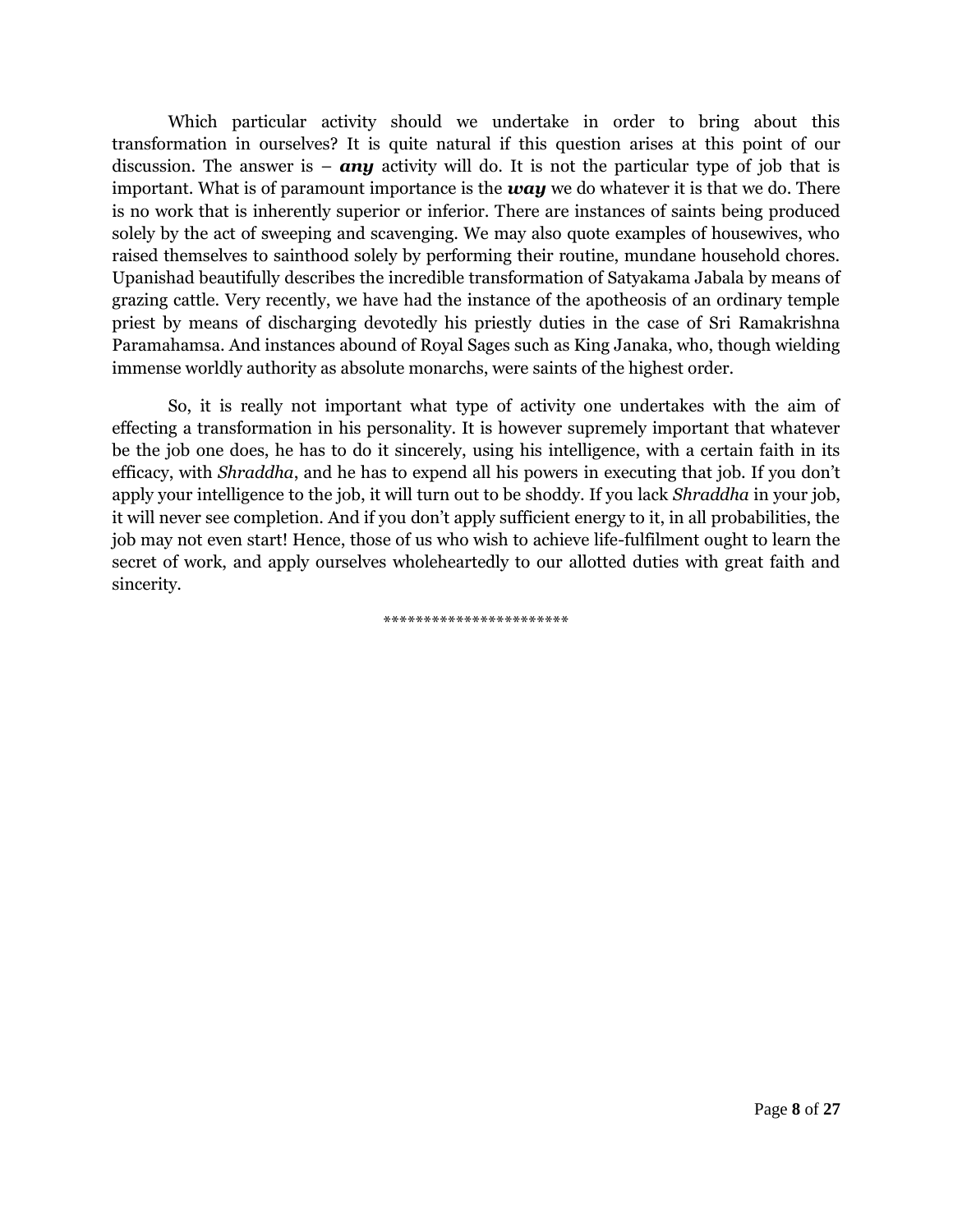Which particular activity should we undertake in order to bring about this transformation in ourselves? It is quite natural if this question arises at this point of our discussion. The answer is  $-$  *any* activity will do. It is not the particular type of job that is important. What is of paramount importance is the *way* we do whatever it is that we do. There is no work that is inherently superior or inferior. There are instances of saints being produced solely by the act of sweeping and scavenging. We may also quote examples of housewives, who raised themselves to sainthood solely by performing their routine, mundane household chores. Upanishad beautifully describes the incredible transformation of Satyakama Jabala by means of grazing cattle. Very recently, we have had the instance of the apotheosis of an ordinary temple priest by means of discharging devotedly his priestly duties in the case of Sri Ramakrishna Paramahamsa. And instances abound of Royal Sages such as King Janaka, who, though wielding immense worldly authority as absolute monarchs, were saints of the highest order.

So, it is really not important what type of activity one undertakes with the aim of effecting a transformation in his personality. It is however supremely important that whatever be the job one does, he has to do it sincerely, using his intelligence, with a certain faith in its efficacy, with *Shraddha*, and he has to expend all his powers in executing that job. If you don"t apply your intelligence to the job, it will turn out to be shoddy. If you lack *Shraddha* in your job, it will never see completion. And if you don"t apply sufficient energy to it, in all probabilities, the job may not even start! Hence, those of us who wish to achieve life-fulfilment ought to learn the secret of work, and apply ourselves wholeheartedly to our allotted duties with great faith and sincerity.

\*\*\*\*\*\*\*\*\*\*\*\*\*\*\*\*\*\*\*\*\*\*\*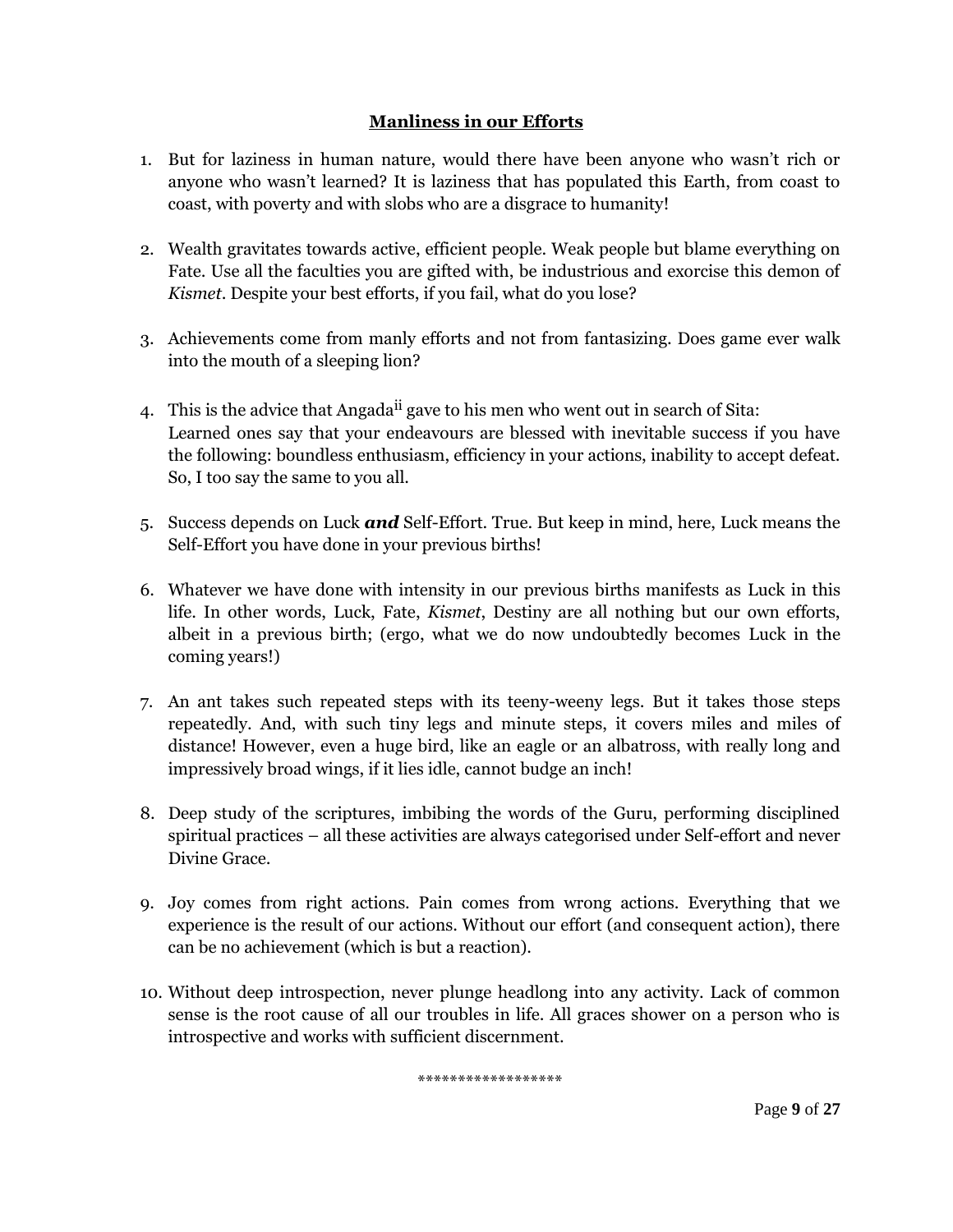## **Manliness in our Efforts**

- 1. But for laziness in human nature, would there have been anyone who wasn"t rich or anyone who wasn"t learned? It is laziness that has populated this Earth, from coast to coast, with poverty and with slobs who are a disgrace to humanity!
- 2. Wealth gravitates towards active, efficient people. Weak people but blame everything on Fate. Use all the faculties you are gifted with, be industrious and exorcise this demon of *Kismet*. Despite your best efforts, if you fail, what do you lose?
- 3. Achievements come from manly efforts and not from fantasizing. Does game ever walk into the mouth of a sleeping lion?
- 4. This is the advice that Angada<sup>ii</sup> gave to his men who went out in search of Sita: Learned ones say that your endeavours are blessed with inevitable success if you have the following: boundless enthusiasm, efficiency in your actions, inability to accept defeat. So, I too say the same to you all.
- 5. Success depends on Luck *and* Self-Effort. True. But keep in mind, here, Luck means the Self-Effort you have done in your previous births!
- 6. Whatever we have done with intensity in our previous births manifests as Luck in this life. In other words, Luck, Fate, *Kismet*, Destiny are all nothing but our own efforts, albeit in a previous birth; (ergo, what we do now undoubtedly becomes Luck in the coming years!)
- 7. An ant takes such repeated steps with its teeny-weeny legs. But it takes those steps repeatedly. And, with such tiny legs and minute steps, it covers miles and miles of distance! However, even a huge bird, like an eagle or an albatross, with really long and impressively broad wings, if it lies idle, cannot budge an inch!
- 8. Deep study of the scriptures, imbibing the words of the Guru, performing disciplined spiritual practices – all these activities are always categorised under Self-effort and never Divine Grace.
- 9. Joy comes from right actions. Pain comes from wrong actions. Everything that we experience is the result of our actions. Without our effort (and consequent action), there can be no achievement (which is but a reaction).
- 10. Without deep introspection, never plunge headlong into any activity. Lack of common sense is the root cause of all our troubles in life. All graces shower on a person who is introspective and works with sufficient discernment.

\*\*\*\*\*\*\*\*\*\*\*\*\*\*\*\*\*\*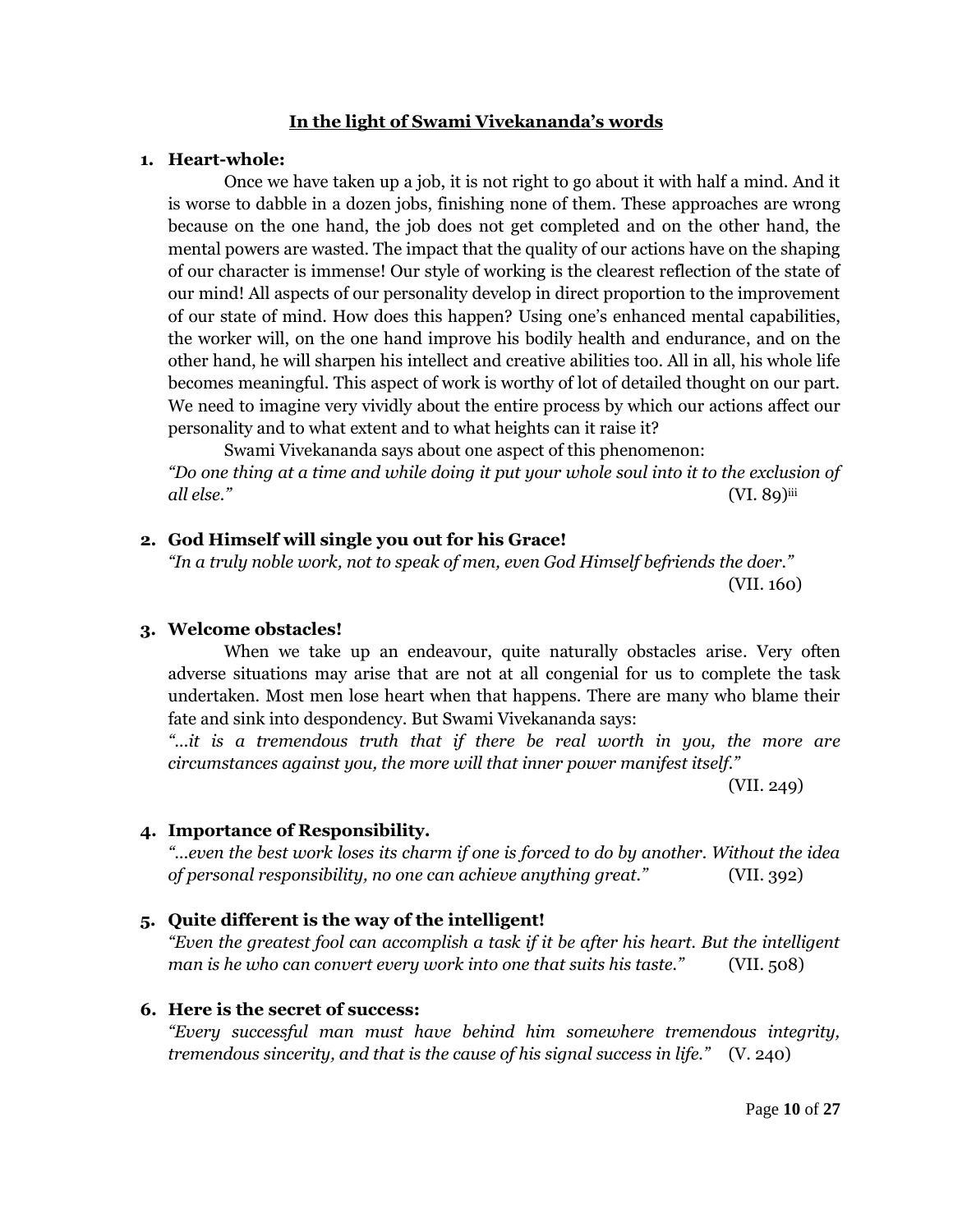### **In the light of Swami Vivekananda's words**

#### **1. Heart-whole:**

Once we have taken up a job, it is not right to go about it with half a mind. And it is worse to dabble in a dozen jobs, finishing none of them. These approaches are wrong because on the one hand, the job does not get completed and on the other hand, the mental powers are wasted. The impact that the quality of our actions have on the shaping of our character is immense! Our style of working is the clearest reflection of the state of our mind! All aspects of our personality develop in direct proportion to the improvement of our state of mind. How does this happen? Using one"s enhanced mental capabilities, the worker will, on the one hand improve his bodily health and endurance, and on the other hand, he will sharpen his intellect and creative abilities too. All in all, his whole life becomes meaningful. This aspect of work is worthy of lot of detailed thought on our part. We need to imagine very vividly about the entire process by which our actions affect our personality and to what extent and to what heights can it raise it?

Swami Vivekananda says about one aspect of this phenomenon: *"Do one thing at a time and while doing it put your whole soul into it to the exclusion of all else."* (VI. 89)iii

## **2. God Himself will single you out for his Grace!**

*"In a truly noble work, not to speak of men, even God Himself befriends the doer."*  (VII. 160)

## **3. Welcome obstacles!**

When we take up an endeavour, quite naturally obstacles arise. Very often adverse situations may arise that are not at all congenial for us to complete the task undertaken. Most men lose heart when that happens. There are many who blame their fate and sink into despondency. But Swami Vivekananda says:

*"...it is a tremendous truth that if there be real worth in you, the more are circumstances against you, the more will that inner power manifest itself."* 

(VII. 249)

## **4. Importance of Responsibility.**

*"...even the best work loses its charm if one is forced to do by another. Without the idea of personal responsibility, no one can achieve anything great."* (VII. 392)

## **5. Quite different is the way of the intelligent!**

*"Even the greatest fool can accomplish a task if it be after his heart. But the intelligent man is he who can convert every work into one that suits his taste."* (VII. 508)

## **6. Here is the secret of success:**

*"Every successful man must have behind him somewhere tremendous integrity, tremendous sincerity, and that is the cause of his signal success in life."* (V. 240)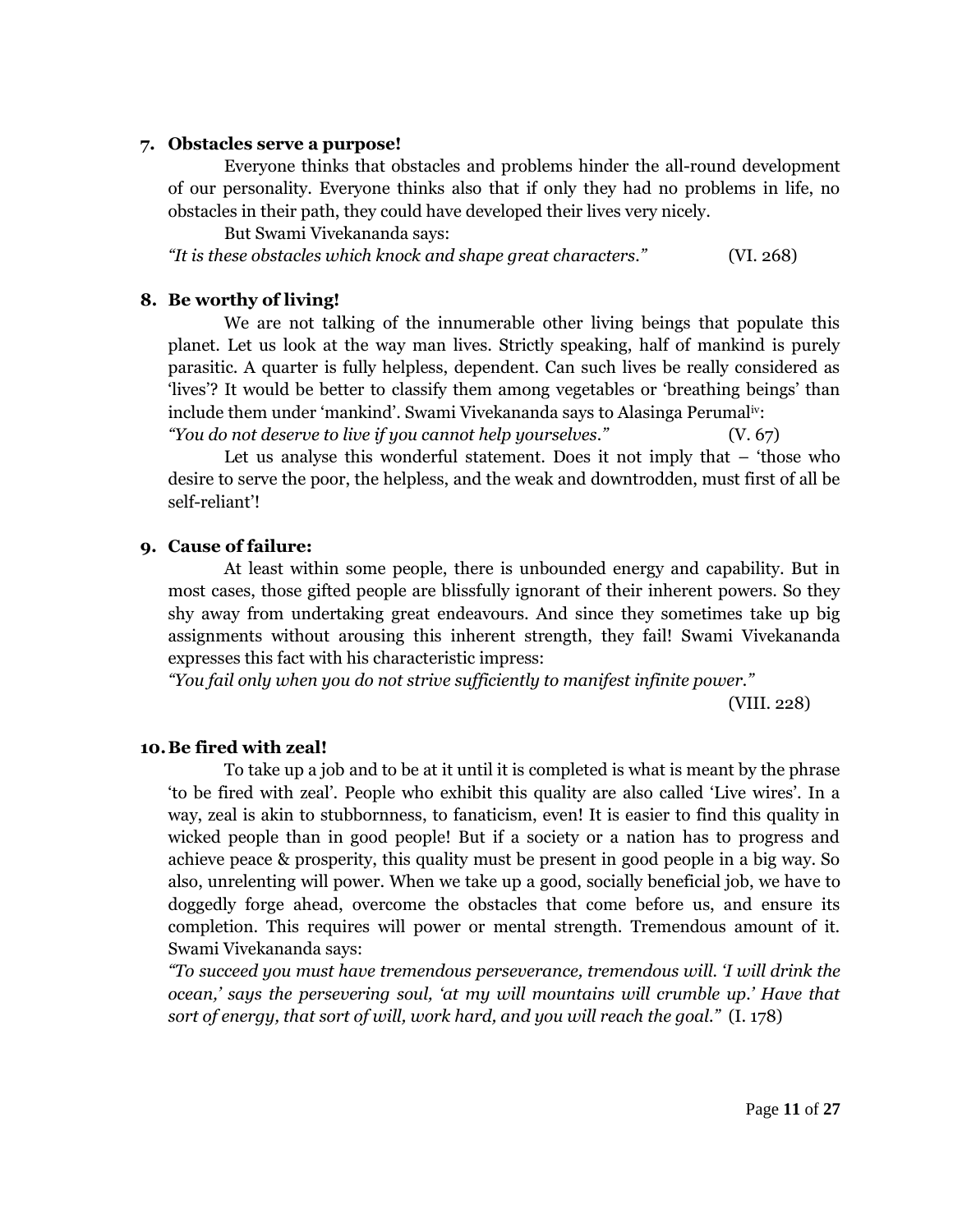#### **7. Obstacles serve a purpose!**

Everyone thinks that obstacles and problems hinder the all-round development of our personality. Everyone thinks also that if only they had no problems in life, no obstacles in their path, they could have developed their lives very nicely.

But Swami Vivekananda says:

*"It is these obstacles which knock and shape great characters."* (VI. 268)

#### **8. Be worthy of living!**

We are not talking of the innumerable other living beings that populate this planet. Let us look at the way man lives. Strictly speaking, half of mankind is purely parasitic. A quarter is fully helpless, dependent. Can such lives be really considered as "lives"? It would be better to classify them among vegetables or "breathing beings" than include them under "mankind". Swami Vivekananda says to Alasinga Perumaliv: *"You do not deserve to live if you cannot help yourselves."* (V. 67)

Let us analyse this wonderful statement. Does it not imply that – "those who desire to serve the poor, the helpless, and the weak and downtrodden, must first of all be self-reliant"!

#### **9. Cause of failure:**

At least within some people, there is unbounded energy and capability. But in most cases, those gifted people are blissfully ignorant of their inherent powers. So they shy away from undertaking great endeavours. And since they sometimes take up big assignments without arousing this inherent strength, they fail! Swami Vivekananda expresses this fact with his characteristic impress:

*"You fail only when you do not strive sufficiently to manifest infinite power."*

(VIII. 228)

## **10.Be fired with zeal!**

To take up a job and to be at it until it is completed is what is meant by the phrase "to be fired with zeal". People who exhibit this quality are also called "Live wires". In a way, zeal is akin to stubbornness, to fanaticism, even! It is easier to find this quality in wicked people than in good people! But if a society or a nation has to progress and achieve peace & prosperity, this quality must be present in good people in a big way. So also, unrelenting will power. When we take up a good, socially beneficial job, we have to doggedly forge ahead, overcome the obstacles that come before us, and ensure its completion. This requires will power or mental strength. Tremendous amount of it. Swami Vivekananda says:

*"To succeed you must have tremendous perseverance, tremendous will. "I will drink the ocean," says the persevering soul, "at my will mountains will crumble up." Have that sort of energy, that sort of will, work hard, and you will reach the goal."* (I. 178)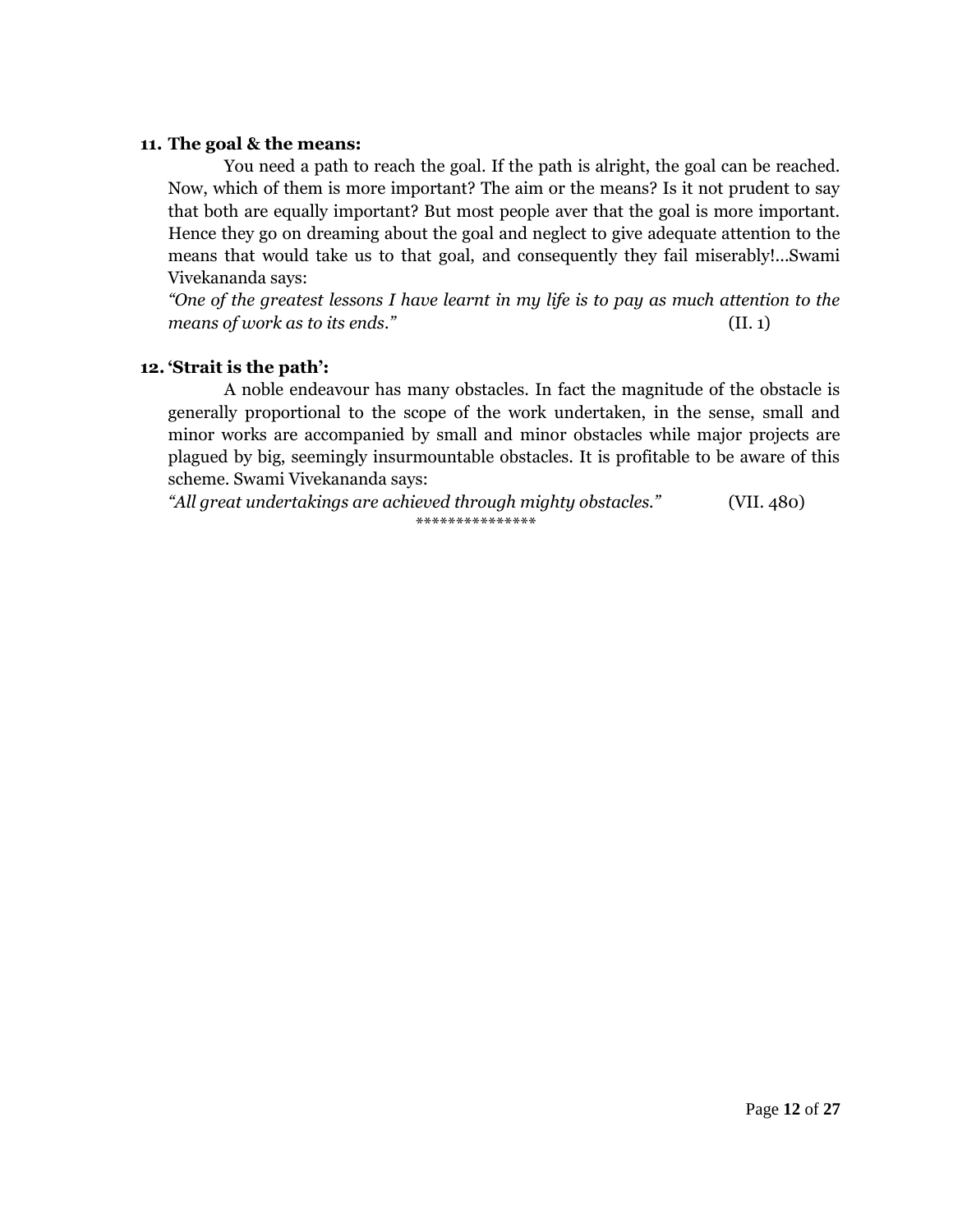## **11. The goal & the means:**

You need a path to reach the goal. If the path is alright, the goal can be reached. Now, which of them is more important? The aim or the means? Is it not prudent to say that both are equally important? But most people aver that the goal is more important. Hence they go on dreaming about the goal and neglect to give adequate attention to the means that would take us to that goal, and consequently they fail miserably!...Swami Vivekananda says:

*"One of the greatest lessons I have learnt in my life is to pay as much attention to the means of work as to its ends."* (II. 1)

## **12. 'Strait is the path':**

A noble endeavour has many obstacles. In fact the magnitude of the obstacle is generally proportional to the scope of the work undertaken, in the sense, small and minor works are accompanied by small and minor obstacles while major projects are plagued by big, seemingly insurmountable obstacles. It is profitable to be aware of this scheme. Swami Vivekananda says:

*"All great undertakings are achieved through mighty obstacles."* (VII. 480) \*\*\*\*\*\*\*\*\*\*\*\*\*\*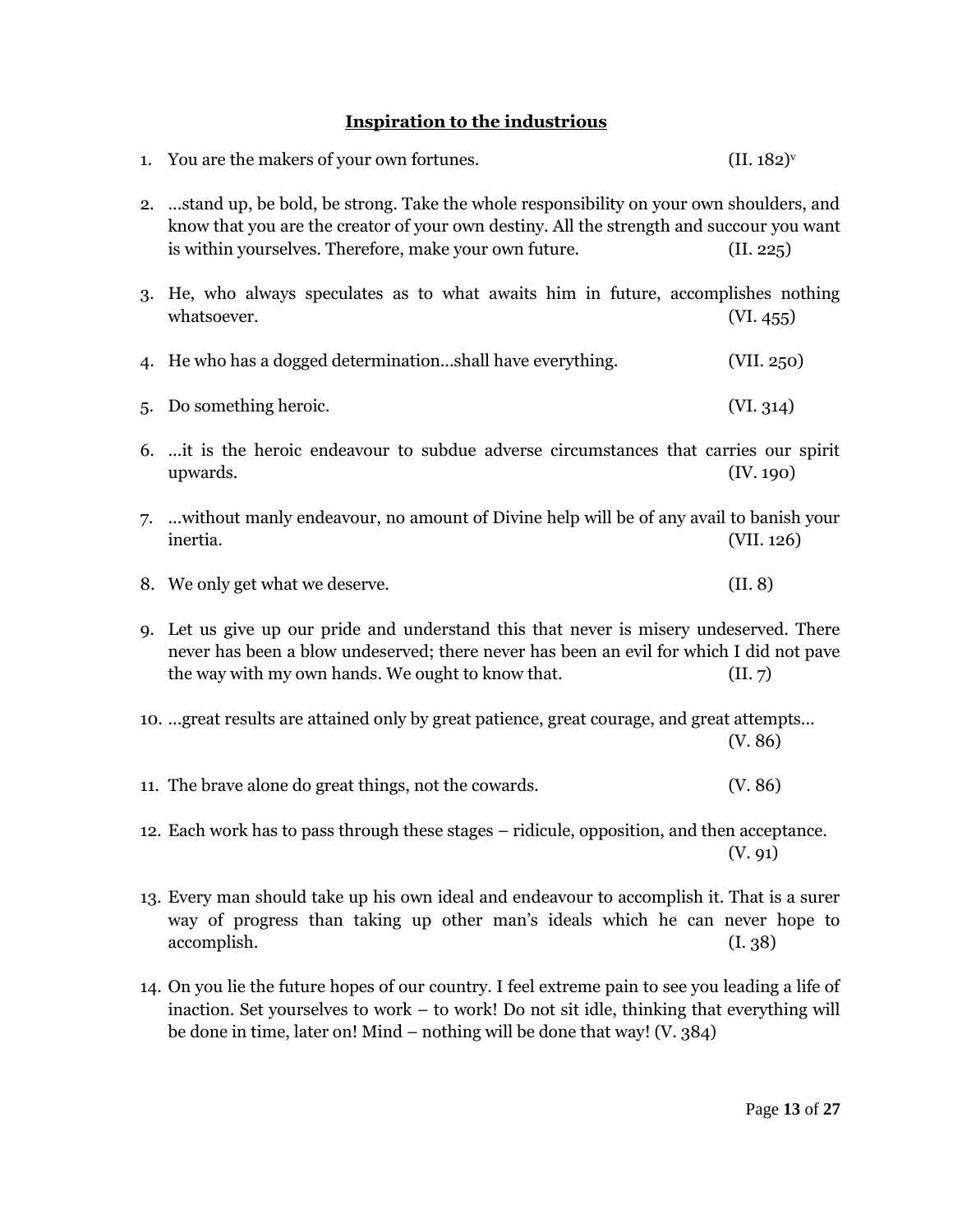# **Inspiration to the industrious**

|    | 1. You are the makers of your own fortunes.                                                                                                                                                                                                      | (II. 182) <sup>v</sup> |
|----|--------------------------------------------------------------------------------------------------------------------------------------------------------------------------------------------------------------------------------------------------|------------------------|
|    | 2.  stand up, be bold, be strong. Take the whole responsibility on your own shoulders, and<br>know that you are the creator of your own destiny. All the strength and succour you want<br>is within yourselves. Therefore, make your own future. | (II. 225)              |
|    | 3. He, who always speculates as to what awaits him in future, accomplishes nothing<br>whatsoever.                                                                                                                                                | (VI. 455)              |
| 4. | He who has a dogged determinationshall have everything.                                                                                                                                                                                          | (VII. 250)             |
| 5. | Do something heroic.                                                                                                                                                                                                                             | (VI. 314)              |
|    | 6. it is the heroic endeavour to subdue adverse circumstances that carries our spirit<br>upwards.                                                                                                                                                | (IV. 190)              |
|    | 7.  without manly endeavour, no amount of Divine help will be of any avail to banish your<br>inertia.                                                                                                                                            | (VII. 126)             |
|    | 8. We only get what we deserve.                                                                                                                                                                                                                  | (II. 8)                |
|    | 9. Let us give up our pride and understand this that never is misery undeserved. There<br>never has been a blow undeserved; there never has been an evil for which I did not pave<br>the way with my own hands. We ought to know that.           | (II. 7)                |
|    | 10.  great results are attained only by great patience, great courage, and great attempts                                                                                                                                                        | (V. 86)                |
|    | 11. The brave alone do great things, not the cowards.                                                                                                                                                                                            | (V. 86)                |
|    | 12. Each work has to pass through these stages - ridicule, opposition, and then acceptance.                                                                                                                                                      | (V. 91)                |
|    | 13. Every man should take up his own ideal and endeavour to accomplish it. That is a surer<br>way of progress than taking up other man's ideals which he can never hope to<br>accomplish.                                                        | (I. 38)                |

14. On you lie the future hopes of our country. I feel extreme pain to see you leading a life of inaction. Set yourselves to work – to work! Do not sit idle, thinking that everything will be done in time, later on! Mind – nothing will be done that way! (V. 384)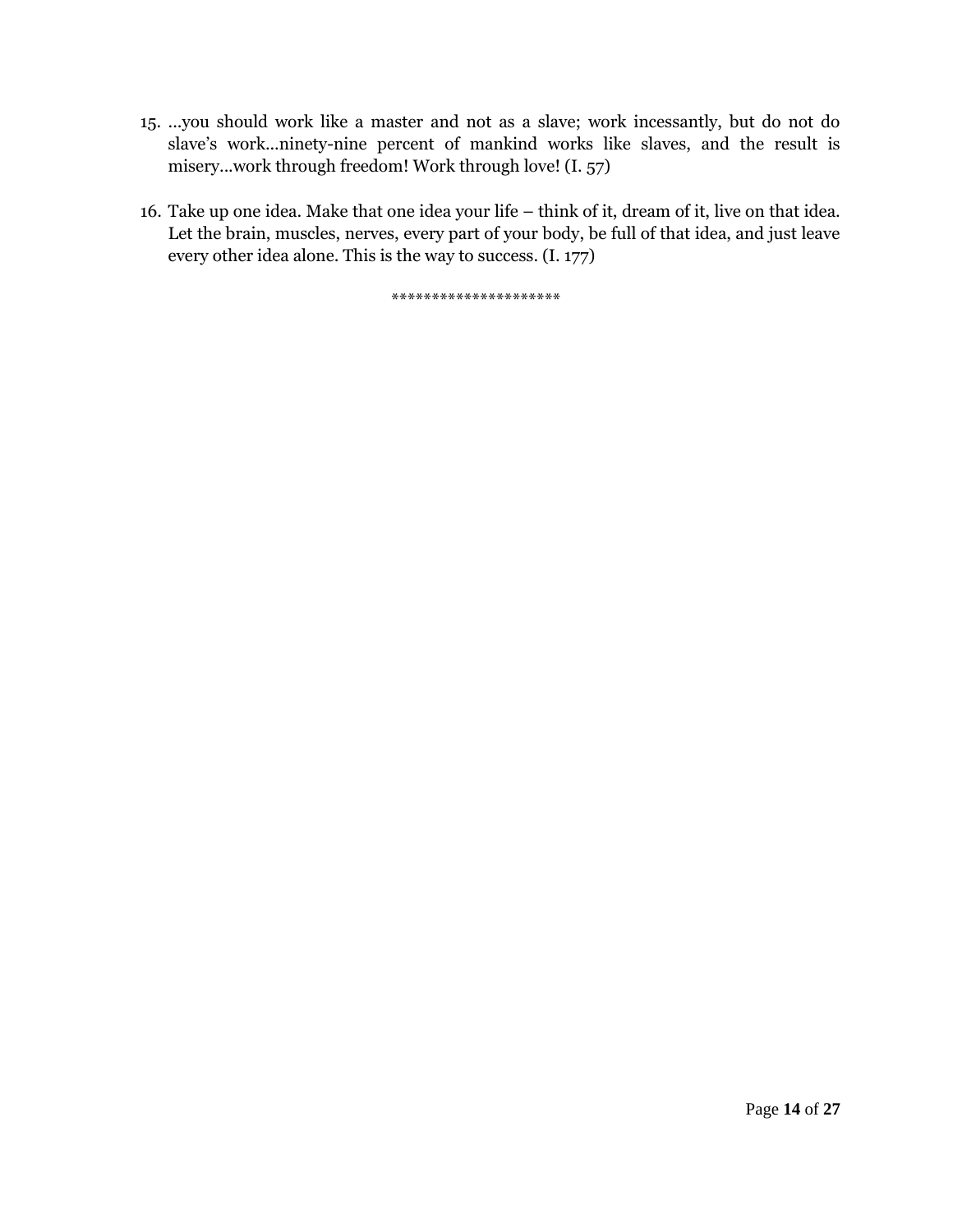- 15. ...you should work like a master and not as a slave; work incessantly, but do not do slave's work...ninety-nine percent of mankind works like slaves, and the result is misery...work through freedom! Work through love! (I. 57)
- 16. Take up one idea. Make that one idea your life think of it, dream of it, live on that idea. Let the brain, muscles, nerves, every part of your body, be full of that idea, and just leave every other idea alone. This is the way to success. (I. 177)

\*\*\*\*\*\*\*\*\*\*\*\*\*\*\*\*\*\*\*\*\*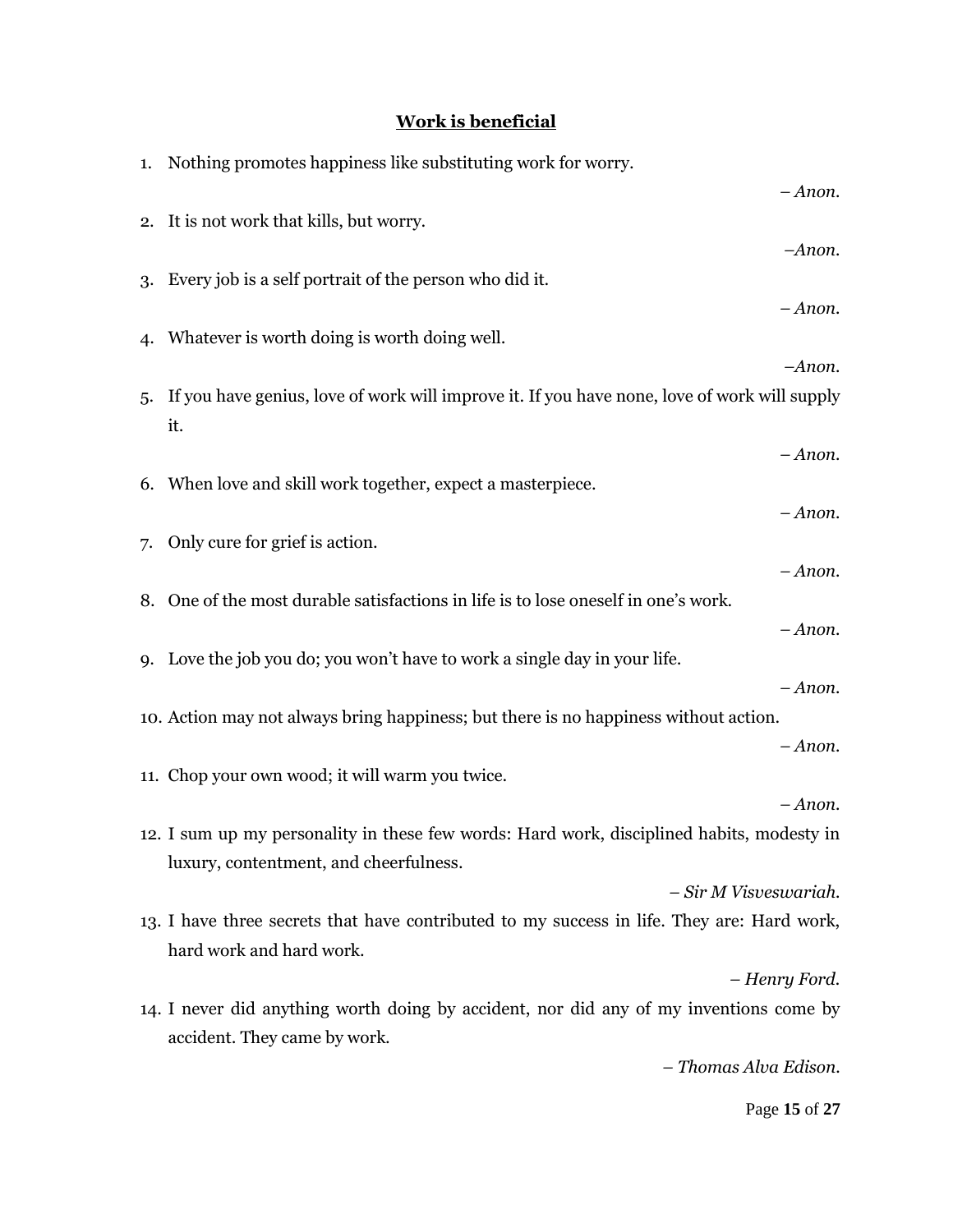# **Work is beneficial**

|    | 1. Nothing promotes happiness like substituting work for worry.                                 |  |  |
|----|-------------------------------------------------------------------------------------------------|--|--|
|    | $-A$ <i>non</i> .                                                                               |  |  |
| 2. | It is not work that kills, but worry.                                                           |  |  |
|    | $-Anon.$                                                                                        |  |  |
|    |                                                                                                 |  |  |
| 3. | Every job is a self portrait of the person who did it.                                          |  |  |
|    | $-A$ <i>non</i> .                                                                               |  |  |
|    | 4. Whatever is worth doing is worth doing well.                                                 |  |  |
|    | -Anon.                                                                                          |  |  |
|    | 5. If you have genius, love of work will improve it. If you have none, love of work will supply |  |  |
|    | it.                                                                                             |  |  |
|    |                                                                                                 |  |  |
|    | $-A$ <i>non</i> .                                                                               |  |  |
|    | 6. When love and skill work together, expect a masterpiece.                                     |  |  |
|    | $-A$ non.                                                                                       |  |  |
| 7. | Only cure for grief is action.                                                                  |  |  |
|    | $-A$ <i>non</i> .                                                                               |  |  |
|    | 8. One of the most durable satisfactions in life is to lose oneself in one's work.              |  |  |
|    |                                                                                                 |  |  |
|    | $-A$ non.                                                                                       |  |  |
|    | 9. Love the job you do; you won't have to work a single day in your life.                       |  |  |
|    | $-A$ <i>non</i> .                                                                               |  |  |
|    | 10. Action may not always bring happiness; but there is no happiness without action.            |  |  |
|    | $-A$ <i>non</i> .                                                                               |  |  |
|    | 11. Chop your own wood; it will warm you twice.                                                 |  |  |
|    | $-A$ <i>non</i> .                                                                               |  |  |
|    |                                                                                                 |  |  |
|    | 12. I sum up my personality in these few words: Hard work, disciplined habits, modesty in       |  |  |
|    | luxury, contentment, and cheerfulness.                                                          |  |  |
|    | - Sir M Visveswariah.                                                                           |  |  |
|    | 13. I have three secrets that have contributed to my success in life. They are: Hard work,      |  |  |
|    | hard work and hard work.                                                                        |  |  |
|    | - Henry Ford.                                                                                   |  |  |
|    |                                                                                                 |  |  |
|    | 14. I never did anything worth doing by accident, nor did any of my inventions come by          |  |  |
|    | accident. They came by work.                                                                    |  |  |
|    | - Thomas Alva Edison.                                                                           |  |  |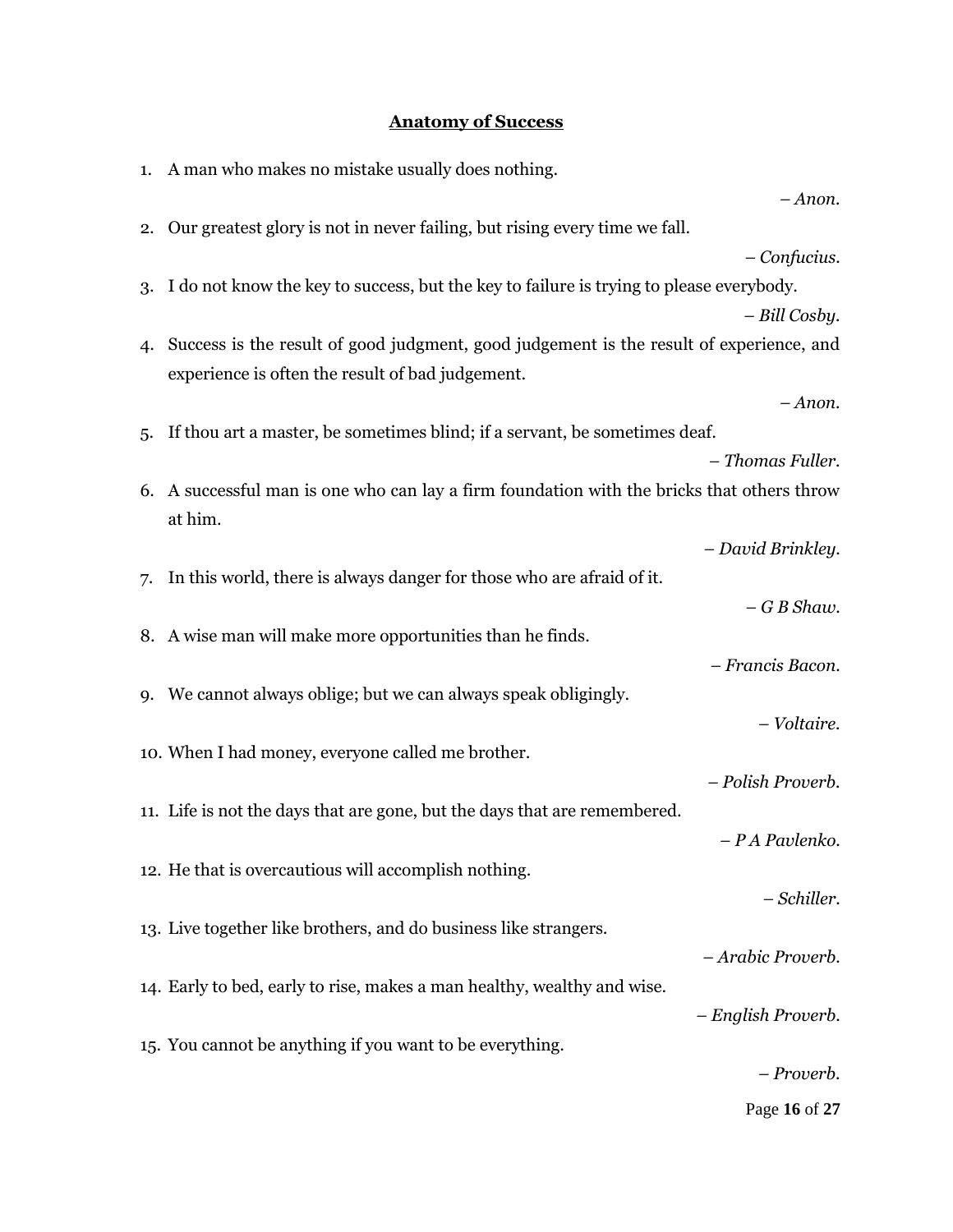# **Anatomy of Success**

|    | 1. A man who makes no mistake usually does nothing.                                                   |
|----|-------------------------------------------------------------------------------------------------------|
|    | $-A$ <i>non</i> .                                                                                     |
| 2. | Our greatest glory is not in never failing, but rising every time we fall.                            |
|    | $-$ Confucius.                                                                                        |
| 3. | I do not know the key to success, but the key to failure is trying to please everybody.               |
|    | - Bill Cosby.                                                                                         |
| 4. | Success is the result of good judgment, good judgement is the result of experience, and               |
|    | experience is often the result of bad judgement.                                                      |
|    | $-A$ <i>non</i> .                                                                                     |
| 5. | If thou art a master, be sometimes blind; if a servant, be sometimes deaf.                            |
|    | - Thomas Fuller.                                                                                      |
|    | 6. A successful man is one who can lay a firm foundation with the bricks that others throw<br>at him. |
|    | - David Brinkley.                                                                                     |
| 7. | In this world, there is always danger for those who are afraid of it.                                 |
|    | $-GB$ Shaw.                                                                                           |
|    | 8. A wise man will make more opportunities than he finds.                                             |
|    | - Francis Bacon.                                                                                      |
|    | 9. We cannot always oblige; but we can always speak obligingly.                                       |
|    | - Voltaire.                                                                                           |
|    | 10. When I had money, everyone called me brother.                                                     |
|    | - Polish Proverb.                                                                                     |
|    | 11. Life is not the days that are gone, but the days that are remembered.                             |
|    | - P A Pavlenko.                                                                                       |
|    | 12. He that is overcautious will accomplish nothing.                                                  |
|    | – Schiller.                                                                                           |
|    | 13. Live together like brothers, and do business like strangers.                                      |
|    | - Arabic Proverb.                                                                                     |
|    | 14. Early to bed, early to rise, makes a man healthy, wealthy and wise.                               |
|    | - English Proverb.                                                                                    |
|    | 15. You cannot be anything if you want to be everything.                                              |
|    | - Proverb.                                                                                            |
|    | Page 16 of 27                                                                                         |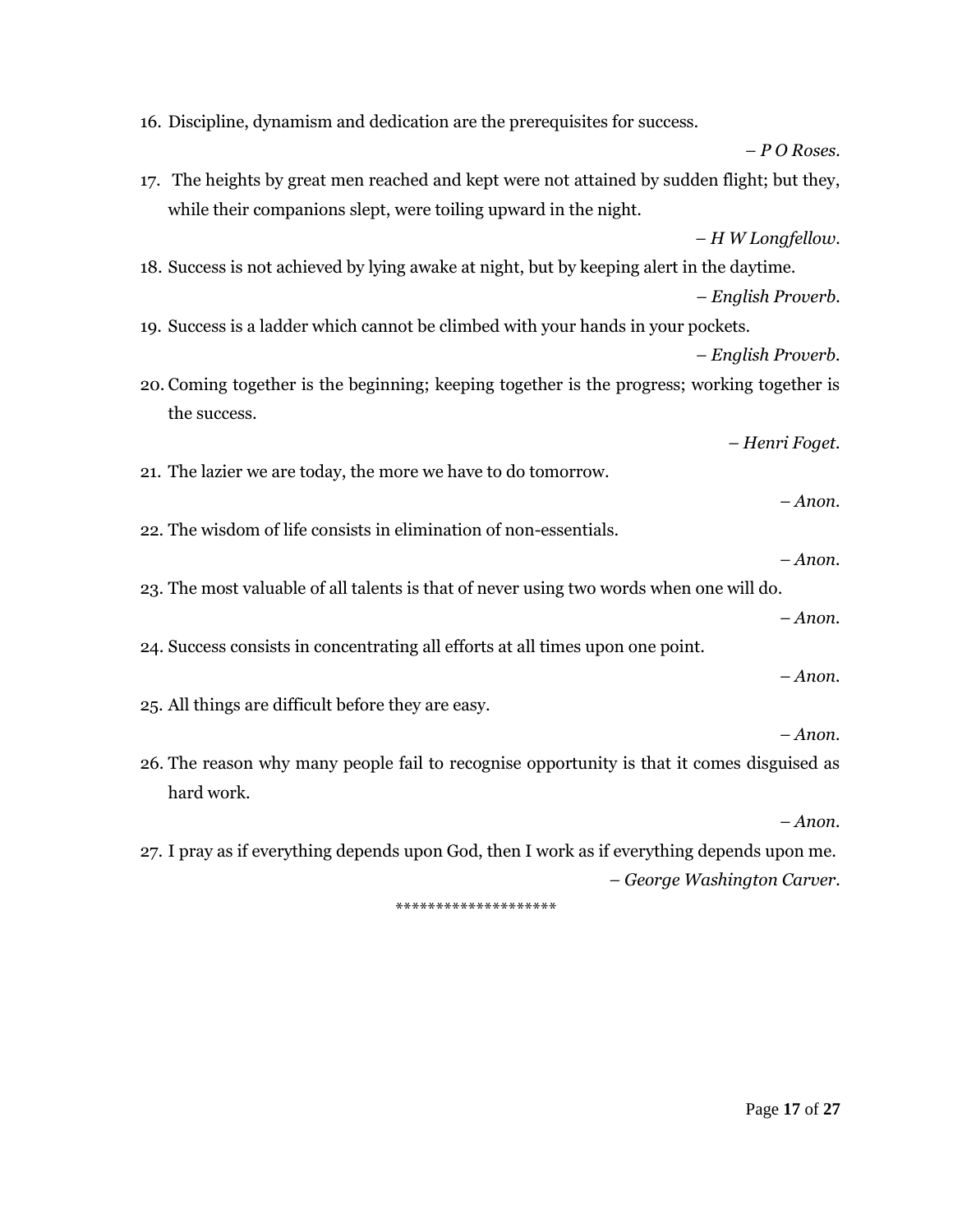16. Discipline, dynamism and dedication are the prerequisites for success. *– P O Roses.* 17. The heights by great men reached and kept were not attained by sudden flight; but they, while their companions slept, were toiling upward in the night. *– H W Longfellow.* 18. Success is not achieved by lying awake at night, but by keeping alert in the daytime. *– English Proverb.* 19. Success is a ladder which cannot be climbed with your hands in your pockets. *– English Proverb.*  20. Coming together is the beginning; keeping together is the progress; working together is the success. *– Henri Foget.* 21. The lazier we are today, the more we have to do tomorrow. *– Anon.* 22. The wisdom of life consists in elimination of non-essentials. *– Anon.* 23. The most valuable of all talents is that of never using two words when one will do. *– Anon.* 24. Success consists in concentrating all efforts at all times upon one point. *– Anon.* 25. All things are difficult before they are easy. *– Anon.* 26. The reason why many people fail to recognise opportunity is that it comes disguised as hard work. *– Anon.* 27. I pray as if everything depends upon God, then I work as if everything depends upon me. *– George Washington Carver.*

\*\*\*\*\*\*\*\*\*\*\*\*\*\*\*\*\*\*\*\*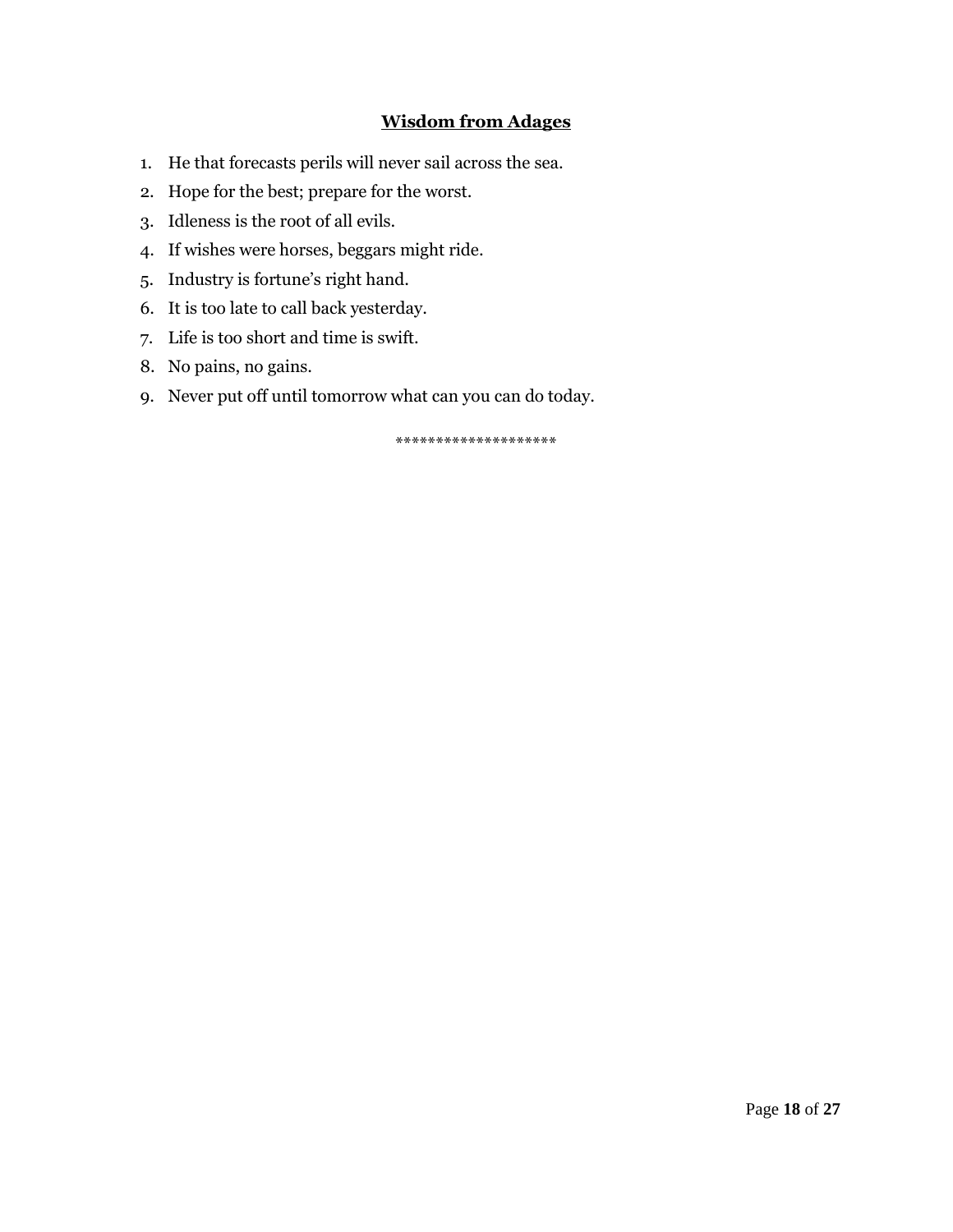# **Wisdom from Adages**

- 1. He that forecasts perils will never sail across the sea.
- 2. Hope for the best; prepare for the worst.
- 3. Idleness is the root of all evils.
- 4. If wishes were horses, beggars might ride.
- 5. Industry is fortune's right hand.
- 6. It is too late to call back yesterday.
- 7. Life is too short and time is swift.
- 8. No pains, no gains.
- 9. Never put off until tomorrow what can you can do today.

\*\*\*\*\*\*\*\*\*\*\*\*\*\*\*\*\*\*\*\*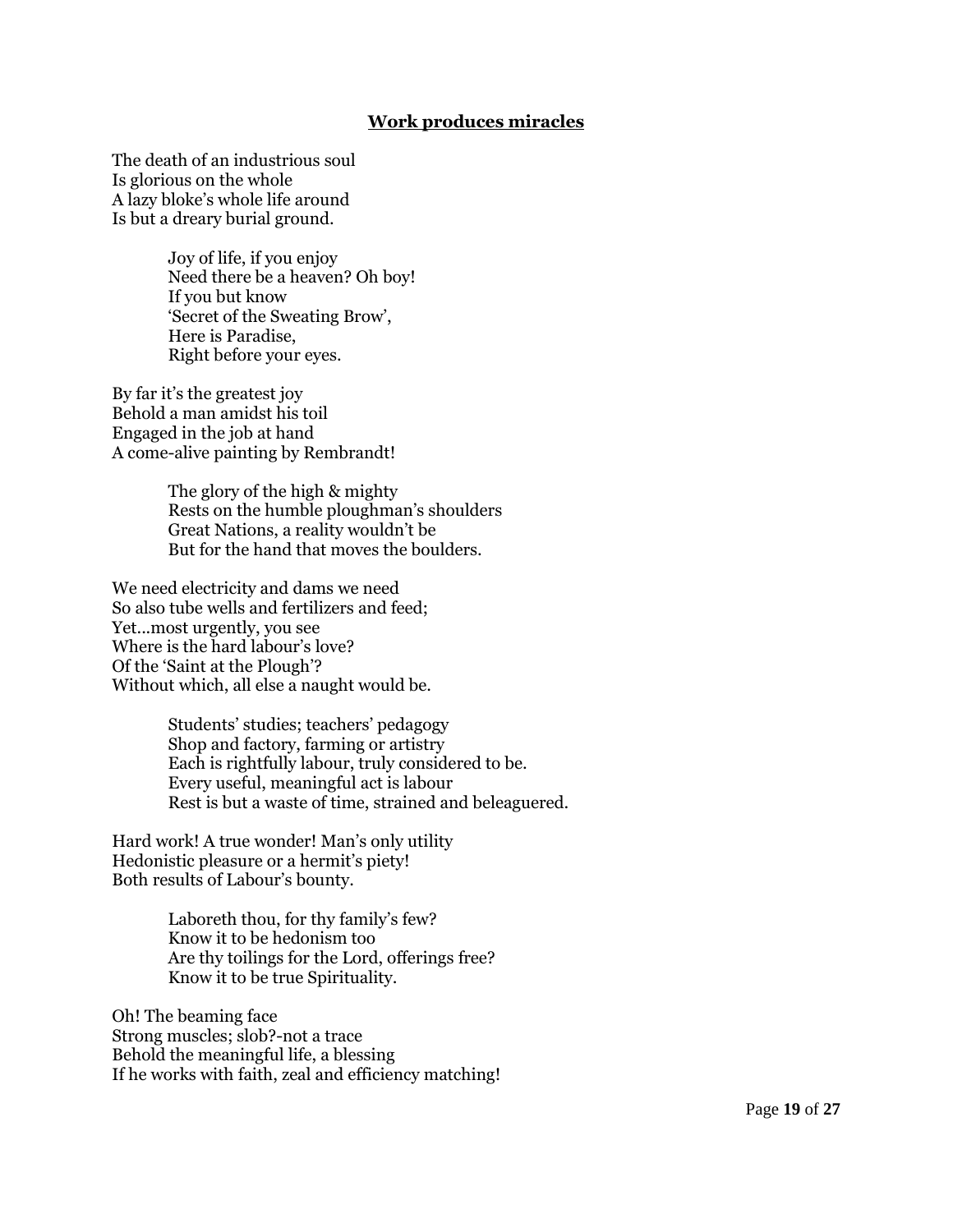### **Work produces miracles**

The death of an industrious soul Is glorious on the whole A lazy bloke"s whole life around Is but a dreary burial ground.

> Joy of life, if you enjoy Need there be a heaven? Oh boy! If you but know "Secret of the Sweating Brow", Here is Paradise, Right before your eyes.

By far it's the greatest joy Behold a man amidst his toil Engaged in the job at hand A come-alive painting by Rembrandt!

> The glory of the high & mighty Rests on the humble ploughman's shoulders Great Nations, a reality wouldn"t be But for the hand that moves the boulders.

We need electricity and dams we need So also tube wells and fertilizers and feed; Yet...most urgently, you see Where is the hard labour's love? Of the "Saint at the Plough"? Without which, all else a naught would be.

> Students" studies; teachers" pedagogy Shop and factory, farming or artistry Each is rightfully labour, truly considered to be. Every useful, meaningful act is labour Rest is but a waste of time, strained and beleaguered.

Hard work! A true wonder! Man"s only utility Hedonistic pleasure or a hermit's piety! Both results of Labour"s bounty.

> Laboreth thou, for thy family's few? Know it to be hedonism too Are thy toilings for the Lord, offerings free? Know it to be true Spirituality.

Oh! The beaming face Strong muscles; slob?-not a trace Behold the meaningful life, a blessing If he works with faith, zeal and efficiency matching!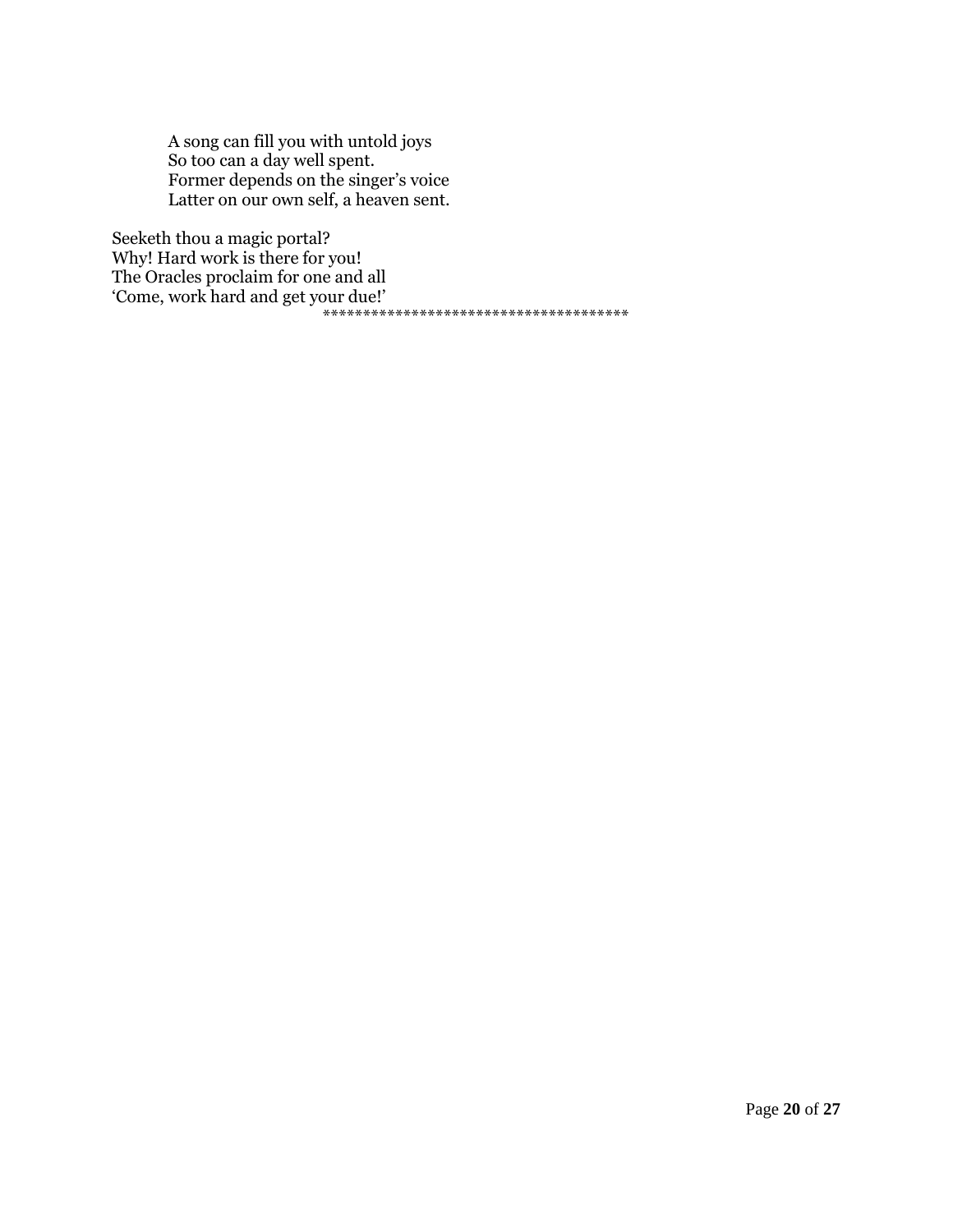A song can fill you with untold joys So too can a day well spent. Former depends on the singer's voice Latter on our own self, a heaven sent.

Seeketh thou a magic portal? Why! Hard work is there for you! The Oracles proclaim for one and all "Come, work hard and get your due!" \*\*\*\*\*\*\*\*\*\*\*\*\*\*\*\*\*\*\*\*\*\*\*\*\*\*\*\*\*\*\*\*\*\*\*\*\*\*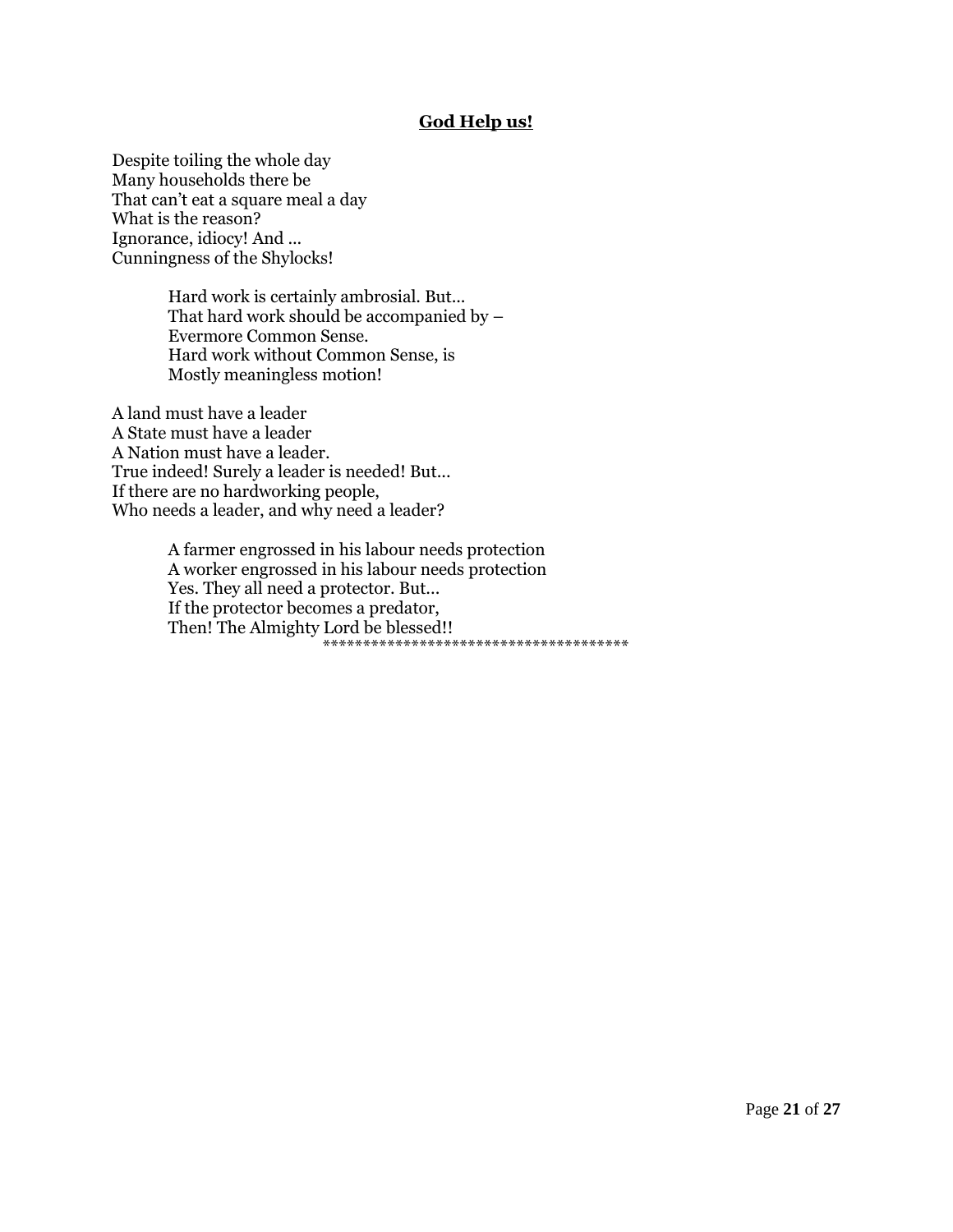## **God Help us!**

Despite toiling the whole day Many households there be That can't eat a square meal a day What is the reason? Ignorance, idiocy! And ... Cunningness of the Shylocks!

> Hard work is certainly ambrosial. But... That hard work should be accompanied by – Evermore Common Sense. Hard work without Common Sense, is Mostly meaningless motion!

A land must have a leader A State must have a leader A Nation must have a leader. True indeed! Surely a leader is needed! But... If there are no hardworking people, Who needs a leader, and why need a leader?

> A farmer engrossed in his labour needs protection A worker engrossed in his labour needs protection Yes. They all need a protector. But... If the protector becomes a predator, Then! The Almighty Lord be blessed!! \*\*\*\*\*\*\*\*\*\*\*\*\*\*\*\*\*\*\*\*\*\*\*\*\*\*\*\*\*\*\*\*\*\*\*\*\*\*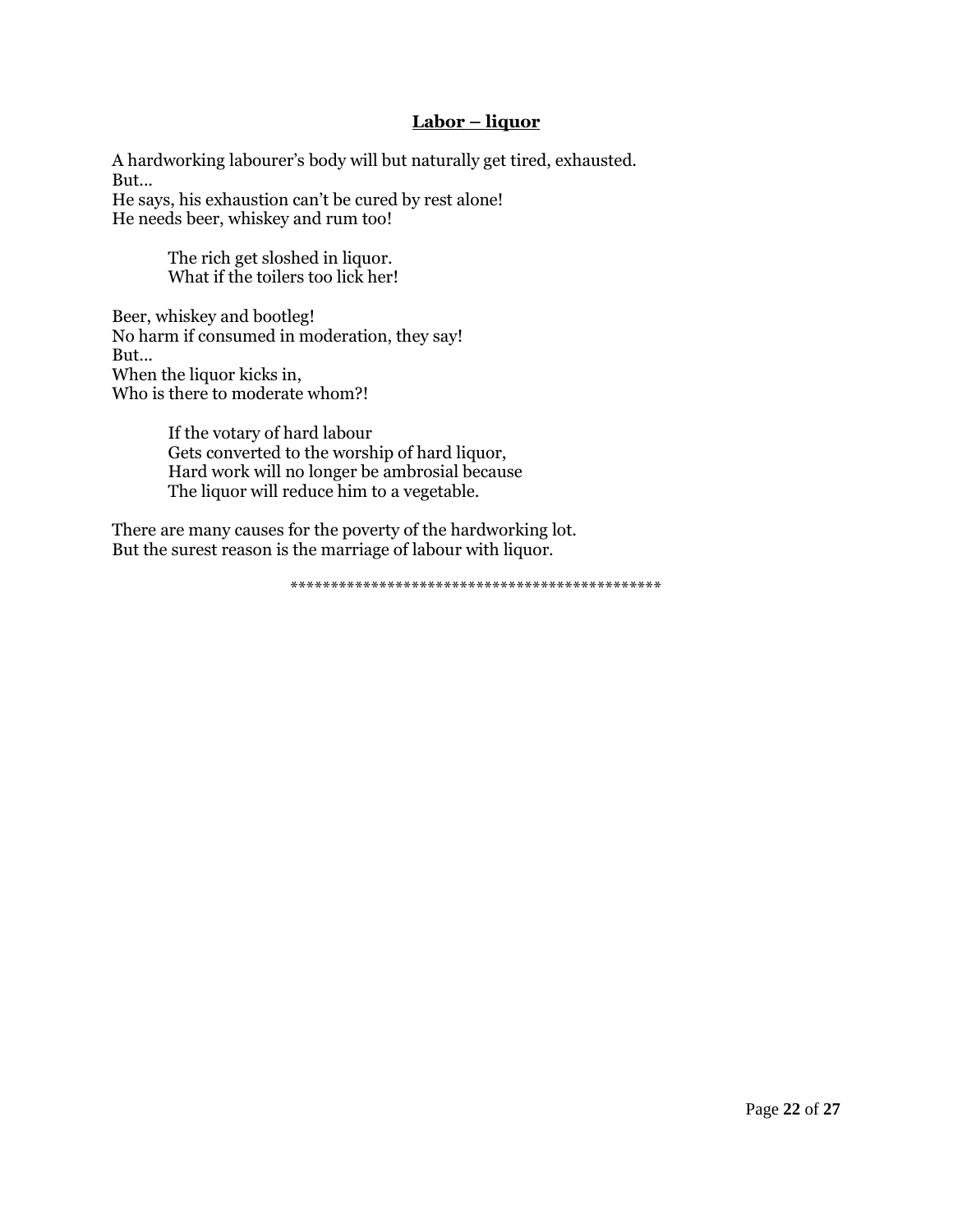## **Labor – liquor**

A hardworking labourer"s body will but naturally get tired, exhausted. But... He says, his exhaustion can"t be cured by rest alone! He needs beer, whiskey and rum too!

> The rich get sloshed in liquor. What if the toilers too lick her!

Beer, whiskey and bootleg! No harm if consumed in moderation, they say! But... When the liquor kicks in, Who is there to moderate whom?!

> If the votary of hard labour Gets converted to the worship of hard liquor, Hard work will no longer be ambrosial because The liquor will reduce him to a vegetable.

There are many causes for the poverty of the hardworking lot. But the surest reason is the marriage of labour with liquor.

\*\*\*\*\*\*\*\*\*\*\*\*\*\*\*\*\*\*\*\*\*\*\*\*\*\*\*\*\*\*\*\*\*\*\*\*\*\*\*\*\*\*\*\*\*\*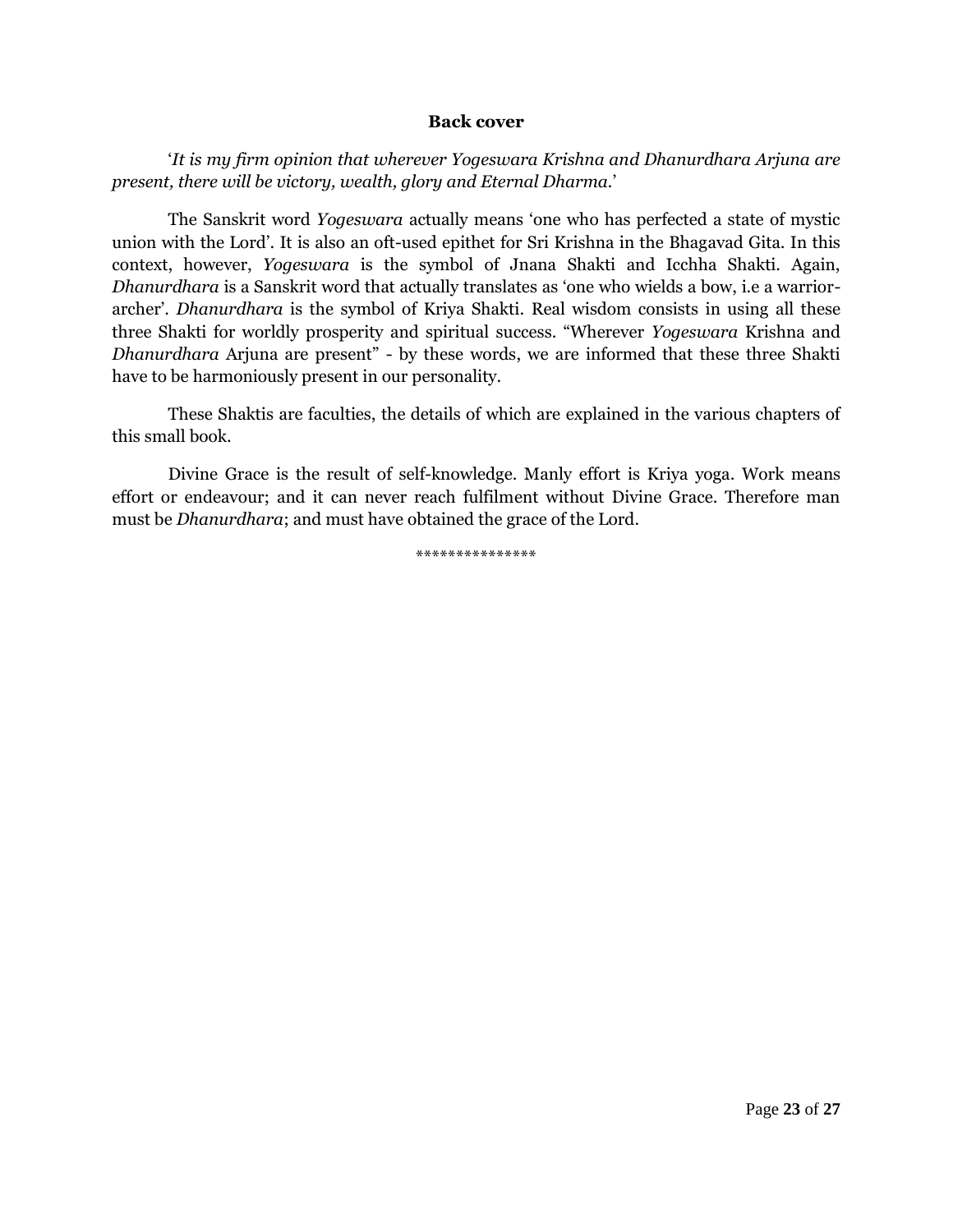#### **Back cover**

"*It is my firm opinion that wherever Yogeswara Krishna and Dhanurdhara Arjuna are present, there will be victory, wealth, glory and Eternal Dharma.*"

The Sanskrit word *Yogeswara* actually means "one who has perfected a state of mystic union with the Lord". It is also an oft-used epithet for Sri Krishna in the Bhagavad Gita. In this context, however, *Yogeswara* is the symbol of Jnana Shakti and Icchha Shakti. Again, *Dhanurdhara* is a Sanskrit word that actually translates as "one who wields a bow, i.e a warriorarcher". *Dhanurdhara* is the symbol of Kriya Shakti. Real wisdom consists in using all these three Shakti for worldly prosperity and spiritual success. "Wherever *Yogeswara* Krishna and *Dhanurdhara* Arjuna are present" - by these words, we are informed that these three Shakti have to be harmoniously present in our personality.

These Shaktis are faculties, the details of which are explained in the various chapters of this small book.

Divine Grace is the result of self-knowledge. Manly effort is Kriya yoga. Work means effort or endeavour; and it can never reach fulfilment without Divine Grace. Therefore man must be *Dhanurdhara*; and must have obtained the grace of the Lord.

\*\*\*\*\*\*\*\*\*\*\*\*\*\*\*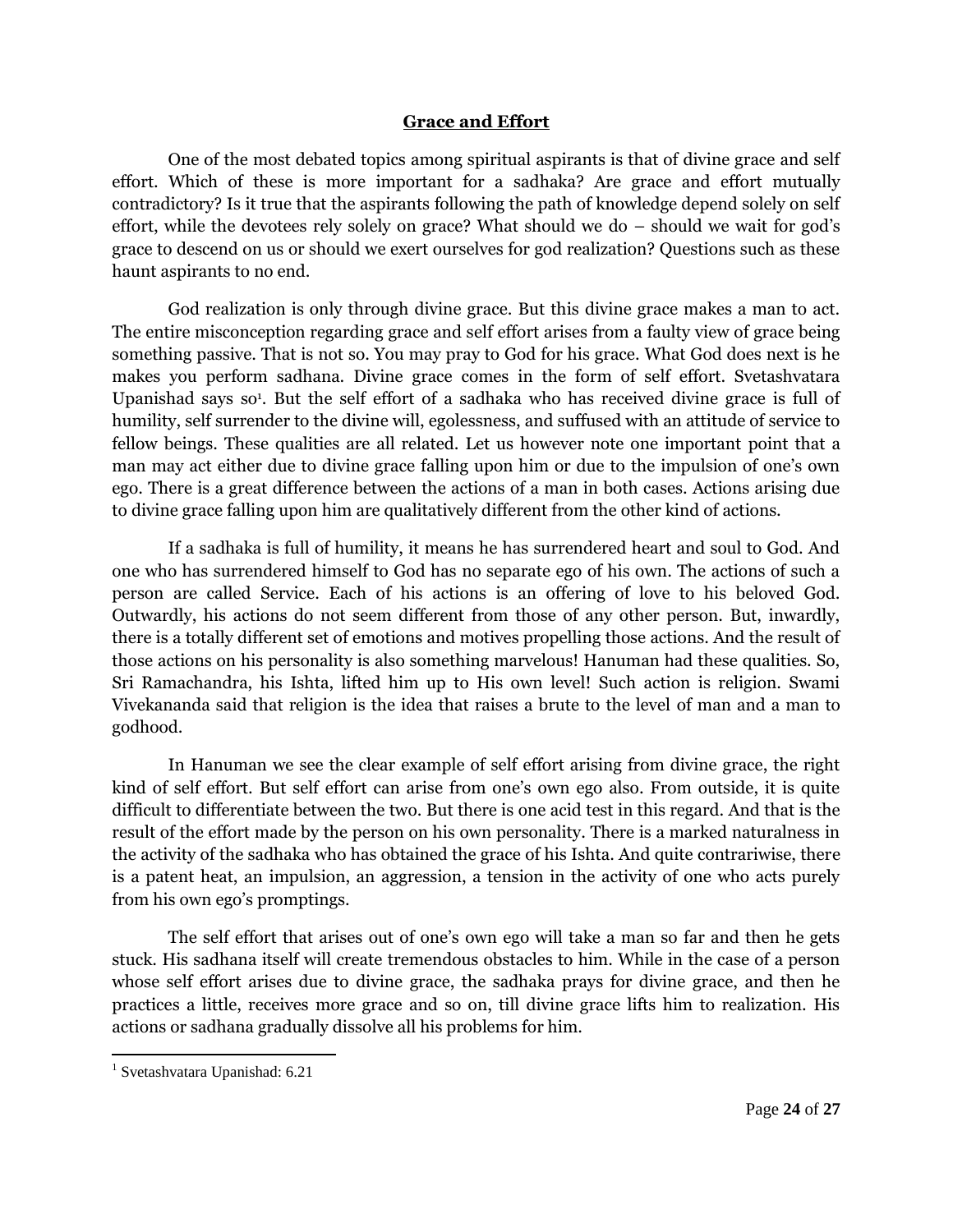## **Grace and Effort**

One of the most debated topics among spiritual aspirants is that of divine grace and self effort. Which of these is more important for a sadhaka? Are grace and effort mutually contradictory? Is it true that the aspirants following the path of knowledge depend solely on self effort, while the devotees rely solely on grace? What should we do  $-$  should we wait for god's grace to descend on us or should we exert ourselves for god realization? Questions such as these haunt aspirants to no end.

God realization is only through divine grace. But this divine grace makes a man to act. The entire misconception regarding grace and self effort arises from a faulty view of grace being something passive. That is not so. You may pray to God for his grace. What God does next is he makes you perform sadhana. Divine grace comes in the form of self effort. Svetashvatara Upanishad says so<sup>1</sup>. But the self effort of a sadhaka who has received divine grace is full of humility, self surrender to the divine will, egolessness, and suffused with an attitude of service to fellow beings. These qualities are all related. Let us however note one important point that a man may act either due to divine grace falling upon him or due to the impulsion of one"s own ego. There is a great difference between the actions of a man in both cases. Actions arising due to divine grace falling upon him are qualitatively different from the other kind of actions.

If a sadhaka is full of humility, it means he has surrendered heart and soul to God. And one who has surrendered himself to God has no separate ego of his own. The actions of such a person are called Service. Each of his actions is an offering of love to his beloved God. Outwardly, his actions do not seem different from those of any other person. But, inwardly, there is a totally different set of emotions and motives propelling those actions. And the result of those actions on his personality is also something marvelous! Hanuman had these qualities. So, Sri Ramachandra, his Ishta, lifted him up to His own level! Such action is religion. Swami Vivekananda said that religion is the idea that raises a brute to the level of man and a man to godhood.

In Hanuman we see the clear example of self effort arising from divine grace, the right kind of self effort. But self effort can arise from one"s own ego also. From outside, it is quite difficult to differentiate between the two. But there is one acid test in this regard. And that is the result of the effort made by the person on his own personality. There is a marked naturalness in the activity of the sadhaka who has obtained the grace of his Ishta. And quite contrariwise, there is a patent heat, an impulsion, an aggression, a tension in the activity of one who acts purely from his own ego's promptings.

The self effort that arises out of one's own ego will take a man so far and then he gets stuck. His sadhana itself will create tremendous obstacles to him. While in the case of a person whose self effort arises due to divine grace, the sadhaka prays for divine grace, and then he practices a little, receives more grace and so on, till divine grace lifts him to realization. His actions or sadhana gradually dissolve all his problems for him.

 $\overline{\phantom{a}}$ 

<sup>1</sup> Svetashvatara Upanishad: 6.21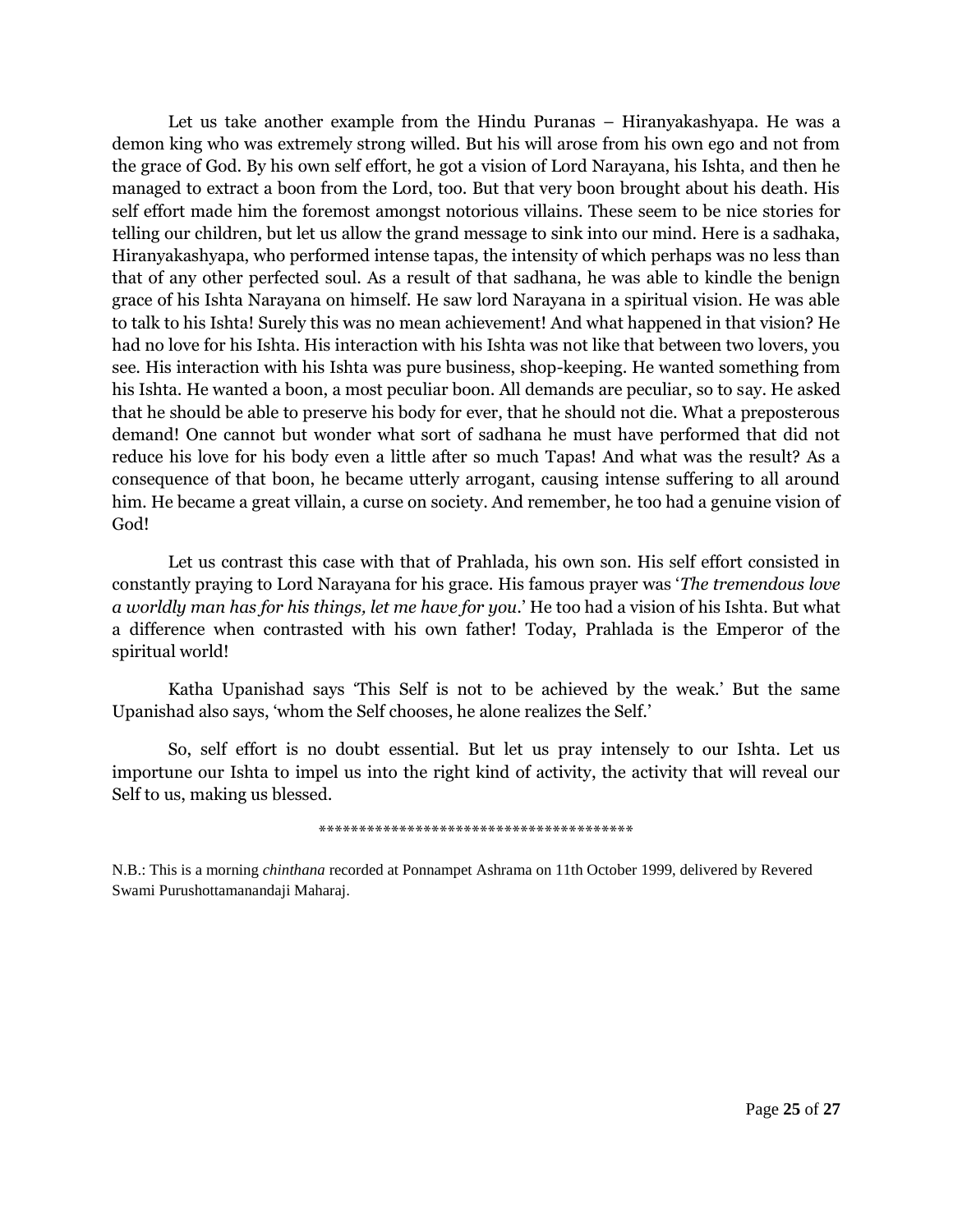Let us take another example from the Hindu Puranas – Hiranyakashyapa. He was a demon king who was extremely strong willed. But his will arose from his own ego and not from the grace of God. By his own self effort, he got a vision of Lord Narayana, his Ishta, and then he managed to extract a boon from the Lord, too. But that very boon brought about his death. His self effort made him the foremost amongst notorious villains. These seem to be nice stories for telling our children, but let us allow the grand message to sink into our mind. Here is a sadhaka, Hiranyakashyapa, who performed intense tapas, the intensity of which perhaps was no less than that of any other perfected soul. As a result of that sadhana, he was able to kindle the benign grace of his Ishta Narayana on himself. He saw lord Narayana in a spiritual vision. He was able to talk to his Ishta! Surely this was no mean achievement! And what happened in that vision? He had no love for his Ishta. His interaction with his Ishta was not like that between two lovers, you see. His interaction with his Ishta was pure business, shop-keeping. He wanted something from his Ishta. He wanted a boon, a most peculiar boon. All demands are peculiar, so to say. He asked that he should be able to preserve his body for ever, that he should not die. What a preposterous demand! One cannot but wonder what sort of sadhana he must have performed that did not reduce his love for his body even a little after so much Tapas! And what was the result? As a consequence of that boon, he became utterly arrogant, causing intense suffering to all around him. He became a great villain, a curse on society. And remember, he too had a genuine vision of God!

Let us contrast this case with that of Prahlada, his own son. His self effort consisted in constantly praying to Lord Narayana for his grace. His famous prayer was "*The tremendous love a worldly man has for his things, let me have for you*." He too had a vision of his Ishta. But what a difference when contrasted with his own father! Today, Prahlada is the Emperor of the spiritual world!

Katha Upanishad says "This Self is not to be achieved by the weak." But the same Upanishad also says, "whom the Self chooses, he alone realizes the Self."

So, self effort is no doubt essential. But let us pray intensely to our Ishta. Let us importune our Ishta to impel us into the right kind of activity, the activity that will reveal our Self to us, making us blessed.

\*\*\*\*\*\*\*\*\*\*\*\*\*\*\*\*\*\*\*\*\*\*\*\*\*\*\*\*\*\*\*\*\*\*\*\*\*\*\*

N.B.: This is a morning *chinthana* recorded at Ponnampet Ashrama on 11th October 1999, delivered by Revered Swami Purushottamanandaji Maharaj.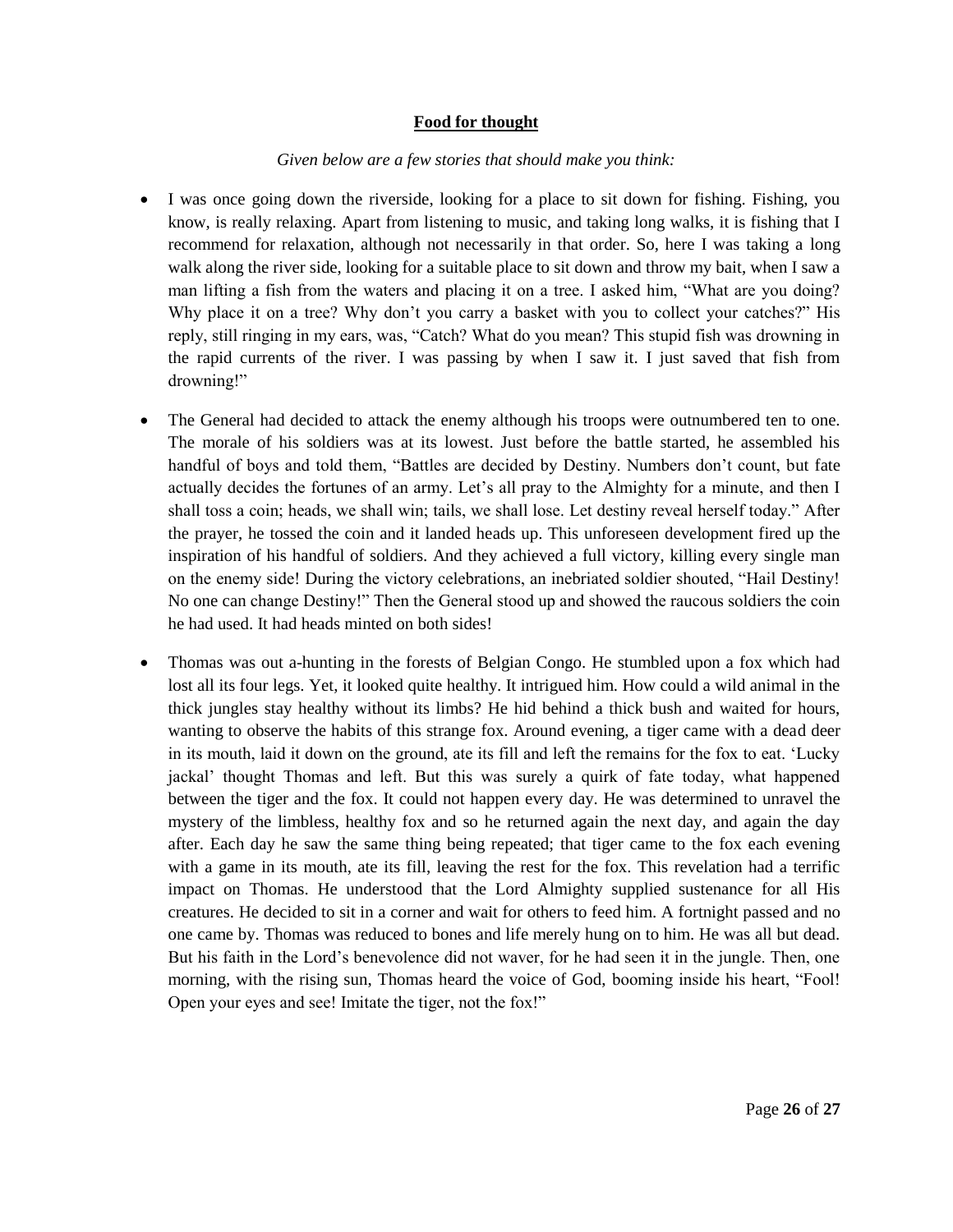#### **Food for thought**

#### *Given below are a few stories that should make you think:*

- I was once going down the riverside, looking for a place to sit down for fishing. Fishing, you know, is really relaxing. Apart from listening to music, and taking long walks, it is fishing that I recommend for relaxation, although not necessarily in that order. So, here I was taking a long walk along the river side, looking for a suitable place to sit down and throw my bait, when I saw a man lifting a fish from the waters and placing it on a tree. I asked him, "What are you doing? Why place it on a tree? Why don"t you carry a basket with you to collect your catches?" His reply, still ringing in my ears, was, "Catch? What do you mean? This stupid fish was drowning in the rapid currents of the river. I was passing by when I saw it. I just saved that fish from drowning!"
- The General had decided to attack the enemy although his troops were outnumbered ten to one. The morale of his soldiers was at its lowest. Just before the battle started, he assembled his handful of boys and told them, "Battles are decided by Destiny. Numbers don't count, but fate actually decides the fortunes of an army. Let's all pray to the Almighty for a minute, and then I shall toss a coin; heads, we shall win; tails, we shall lose. Let destiny reveal herself today." After the prayer, he tossed the coin and it landed heads up. This unforeseen development fired up the inspiration of his handful of soldiers. And they achieved a full victory, killing every single man on the enemy side! During the victory celebrations, an inebriated soldier shouted, "Hail Destiny! No one can change Destiny!" Then the General stood up and showed the raucous soldiers the coin he had used. It had heads minted on both sides!
- Thomas was out a-hunting in the forests of Belgian Congo. He stumbled upon a fox which had lost all its four legs. Yet, it looked quite healthy. It intrigued him. How could a wild animal in the thick jungles stay healthy without its limbs? He hid behind a thick bush and waited for hours, wanting to observe the habits of this strange fox. Around evening, a tiger came with a dead deer in its mouth, laid it down on the ground, ate its fill and left the remains for the fox to eat. "Lucky jackal" thought Thomas and left. But this was surely a quirk of fate today, what happened between the tiger and the fox. It could not happen every day. He was determined to unravel the mystery of the limbless, healthy fox and so he returned again the next day, and again the day after. Each day he saw the same thing being repeated; that tiger came to the fox each evening with a game in its mouth, ate its fill, leaving the rest for the fox. This revelation had a terrific impact on Thomas. He understood that the Lord Almighty supplied sustenance for all His creatures. He decided to sit in a corner and wait for others to feed him. A fortnight passed and no one came by. Thomas was reduced to bones and life merely hung on to him. He was all but dead. But his faith in the Lord"s benevolence did not waver, for he had seen it in the jungle. Then, one morning, with the rising sun, Thomas heard the voice of God, booming inside his heart, "Fool! Open your eyes and see! Imitate the tiger, not the fox!"